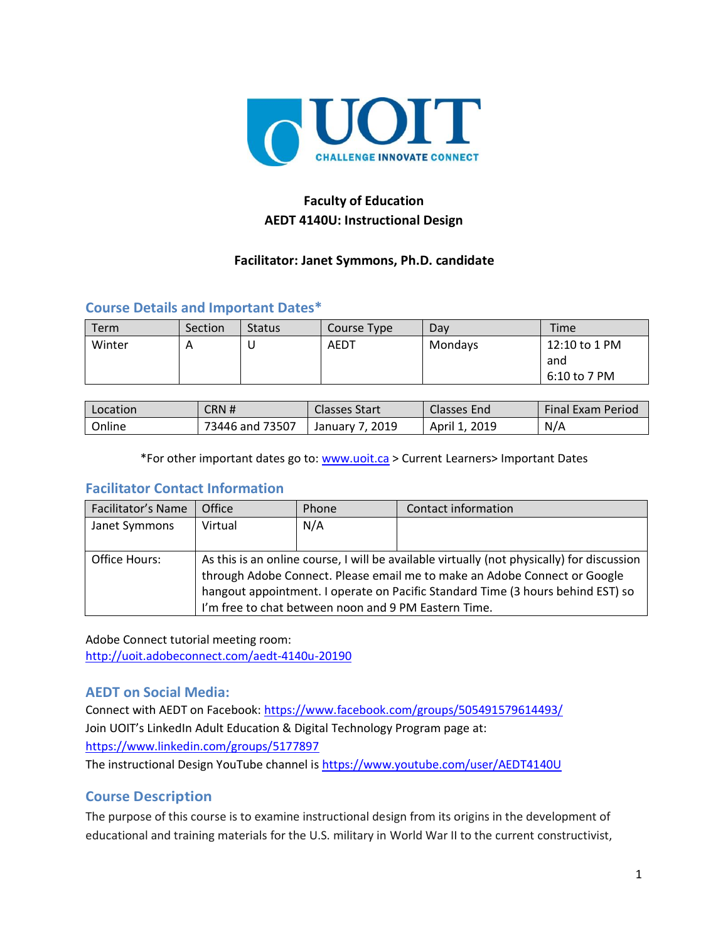

# **Faculty of Education AEDT 4140U: Instructional Design**

### **Facilitator: Janet Symmons, Ph.D. candidate**

# **Course Details and Important Dates\***

| Term   | Section | <b>Status</b> | Course Type | Dav     | <b>Time</b>                          |
|--------|---------|---------------|-------------|---------|--------------------------------------|
| Winter | A       | u             | AEDT        | Mondays | 12:10 to 1 PM<br>and<br>6:10 to 7 PM |

| Location | CRN #           | <b>Classes Start</b>   | <b>Classes End</b> | Final Exam Period |
|----------|-----------------|------------------------|--------------------|-------------------|
| Online   | 73446 and 73507 | . 2019 ،<br>January 7, | 2019<br>April 1,   | N/A               |

\*For other important dates go to: [www.uoit.ca](http://www.uoit.ca/) > Current Learners> Important Dates

#### **Facilitator Contact Information**

| Facilitator's Name | Office                                                                                                                                                                                                                                                                                                             | Phone | Contact information |
|--------------------|--------------------------------------------------------------------------------------------------------------------------------------------------------------------------------------------------------------------------------------------------------------------------------------------------------------------|-------|---------------------|
| Janet Symmons      | Virtual                                                                                                                                                                                                                                                                                                            | N/A   |                     |
|                    |                                                                                                                                                                                                                                                                                                                    |       |                     |
| Office Hours:      | As this is an online course, I will be available virtually (not physically) for discussion<br>through Adobe Connect. Please email me to make an Adobe Connect or Google<br>hangout appointment. I operate on Pacific Standard Time (3 hours behind EST) so<br>I'm free to chat between noon and 9 PM Eastern Time. |       |                     |

Adobe Connect tutorial meeting room: <http://uoit.adobeconnect.com/aedt-4140u-20190>

# **AEDT on Social Media:**

Connect with AEDT on Facebook:<https://www.facebook.com/groups/505491579614493/> Join UOIT's LinkedIn Adult Education & Digital Technology Program page at: <https://www.linkedin.com/groups/5177897>

The instructional Design YouTube channel is [https://www.youtube.com/user/AEDT4140U](https://www.youtube.com/user/AEDT1160U)

# **Course Description**

The purpose of this course is to examine instructional design from its origins in the development of educational and training materials for the U.S. military in World War II to the current constructivist,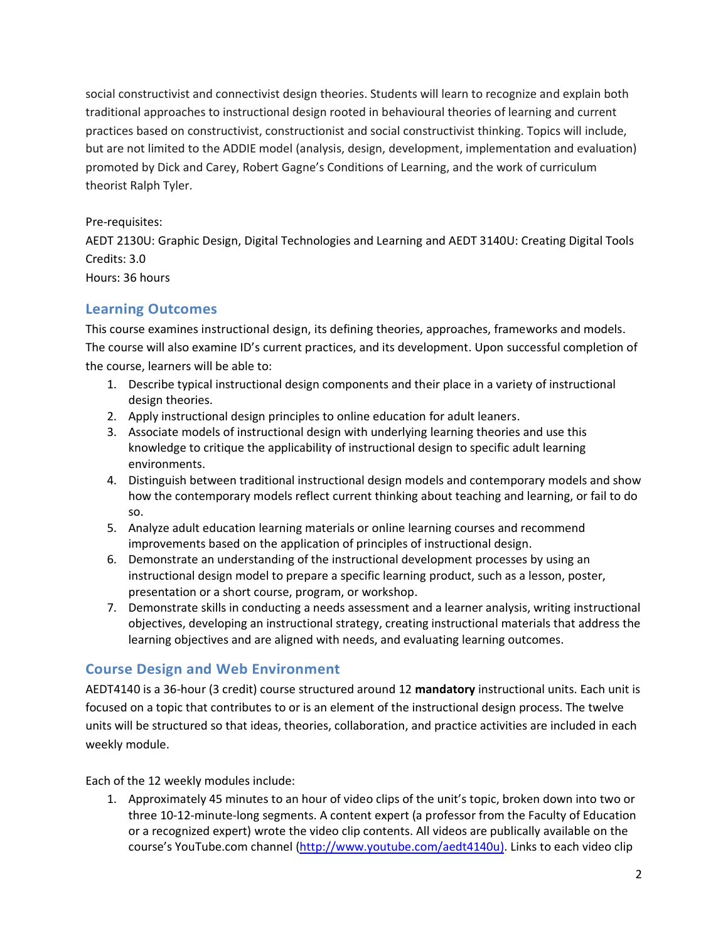social constructivist and connectivist design theories. Students will learn to recognize and explain both traditional approaches to instructional design rooted in behavioural theories of learning and current practices based on constructivist, constructionist and social constructivist thinking. Topics will include, but are not limited to the ADDIE model (analysis, design, development, implementation and evaluation) promoted by Dick and Carey, Robert Gagne's Conditions of Learning, and the work of curriculum theorist Ralph Tyler.

#### Pre-requisites:

AEDT 2130U: Graphic Design, Digital Technologies and Learning and AEDT 3140U: Creating Digital Tools Credits: 3.0 Hours: 36 hours

# **Learning Outcomes**

This course examines instructional design, its defining theories, approaches, frameworks and models. The course will also examine ID's current practices, and its development. Upon successful completion of the course, learners will be able to:

- 1. Describe typical instructional design components and their place in a variety of instructional design theories.
- 2. Apply instructional design principles to online education for adult leaners.
- 3. Associate models of instructional design with underlying learning theories and use this knowledge to critique the applicability of instructional design to specific adult learning environments.
- 4. Distinguish between traditional instructional design models and contemporary models and show how the contemporary models reflect current thinking about teaching and learning, or fail to do so.
- 5. Analyze adult education learning materials or online learning courses and recommend improvements based on the application of principles of instructional design.
- 6. Demonstrate an understanding of the instructional development processes by using an instructional design model to prepare a specific learning product, such as a lesson, poster, presentation or a short course, program, or workshop.
- 7. Demonstrate skills in conducting a needs assessment and a learner analysis, writing instructional objectives, developing an instructional strategy, creating instructional materials that address the learning objectives and are aligned with needs, and evaluating learning outcomes.

# **Course Design and Web Environment**

AEDT4140 is a 36-hour (3 credit) course structured around 12 **mandatory** instructional units. Each unit is focused on a topic that contributes to or is an element of the instructional design process. The twelve units will be structured so that ideas, theories, collaboration, and practice activities are included in each weekly module.

Each of the 12 weekly modules include:

1. Approximately 45 minutes to an hour of video clips of the unit's topic, broken down into two or three 10-12-minute-long segments. A content expert (a professor from the Faculty of Education or a recognized expert) wrote the video clip contents. All videos are publically available on the course's YouTube.com channel [\(http://www.youtube.com/aedt4140u\)](http://www.youtube.com/aedt4140u). Links to each video clip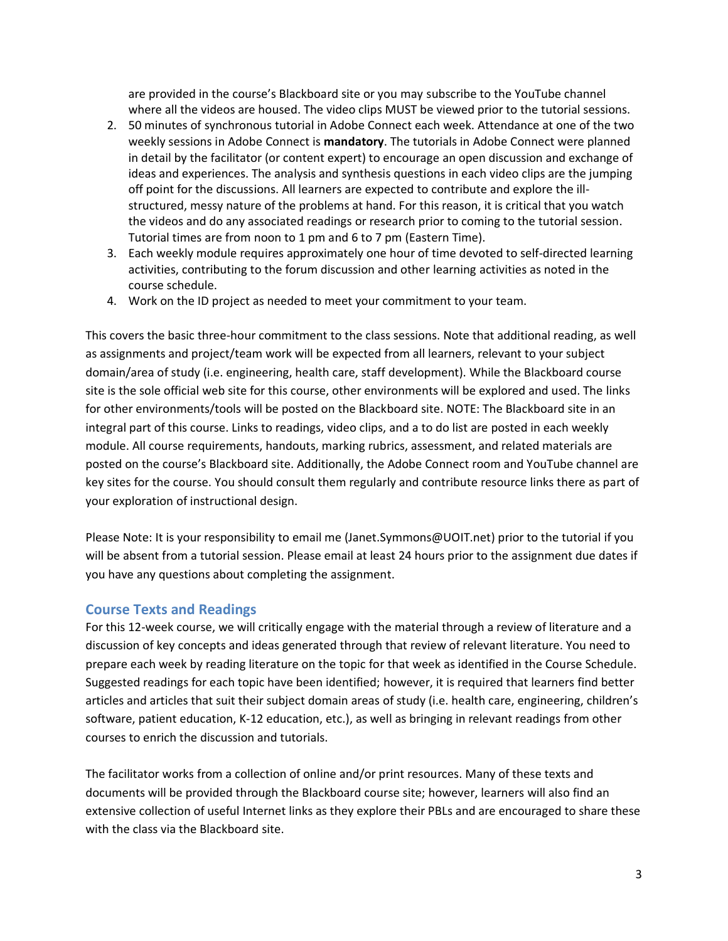are provided in the course's Blackboard site or you may subscribe to the YouTube channel where all the videos are housed. The video clips MUST be viewed prior to the tutorial sessions.

- 2. 50 minutes of synchronous tutorial in Adobe Connect each week. Attendance at one of the two weekly sessions in Adobe Connect is **mandatory**. The tutorials in Adobe Connect were planned in detail by the facilitator (or content expert) to encourage an open discussion and exchange of ideas and experiences. The analysis and synthesis questions in each video clips are the jumping off point for the discussions. All learners are expected to contribute and explore the illstructured, messy nature of the problems at hand. For this reason, it is critical that you watch the videos and do any associated readings or research prior to coming to the tutorial session. Tutorial times are from noon to 1 pm and 6 to 7 pm (Eastern Time).
- 3. Each weekly module requires approximately one hour of time devoted to self-directed learning activities, contributing to the forum discussion and other learning activities as noted in the course schedule.
- 4. Work on the ID project as needed to meet your commitment to your team.

This covers the basic three-hour commitment to the class sessions. Note that additional reading, as well as assignments and project/team work will be expected from all learners, relevant to your subject domain/area of study (i.e. engineering, health care, staff development). While the Blackboard course site is the sole official web site for this course, other environments will be explored and used. The links for other environments/tools will be posted on the Blackboard site. NOTE: The Blackboard site in an integral part of this course. Links to readings, video clips, and a to do list are posted in each weekly module. All course requirements, handouts, marking rubrics, assessment, and related materials are posted on the course's Blackboard site. Additionally, the Adobe Connect room and YouTube channel are key sites for the course. You should consult them regularly and contribute resource links there as part of your exploration of instructional design.

Please Note: It is your responsibility to email me (Janet.Symmons@UOIT.net) prior to the tutorial if you will be absent from a tutorial session. Please email at least 24 hours prior to the assignment due dates if you have any questions about completing the assignment.

#### **Course Texts and Readings**

For this 12-week course, we will critically engage with the material through a review of literature and a discussion of key concepts and ideas generated through that review of relevant literature. You need to prepare each week by reading literature on the topic for that week as identified in the Course Schedule. Suggested readings for each topic have been identified; however, it is required that learners find better articles and articles that suit their subject domain areas of study (i.e. health care, engineering, children's software, patient education, K-12 education, etc.), as well as bringing in relevant readings from other courses to enrich the discussion and tutorials.

The facilitator works from a collection of online and/or print resources. Many of these texts and documents will be provided through the Blackboard course site; however, learners will also find an extensive collection of useful Internet links as they explore their PBLs and are encouraged to share these with the class via the Blackboard site.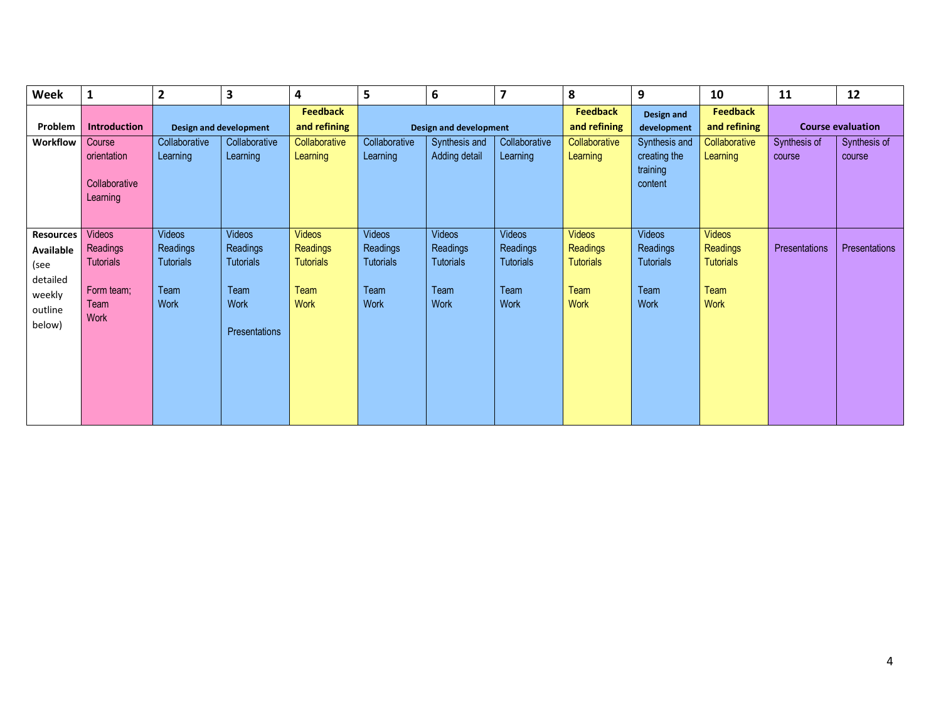| <b>Week</b>                                                                      | 1                                                                    | $\overline{\mathbf{c}}$                                | 3                                                                       | 4                                                             | 5                                                                    | 6                                                      | $\overline{\mathbf{z}}$                                       | 8                                                                    | 9                                                                    | 10                                                                   | 11                     | 12                       |
|----------------------------------------------------------------------------------|----------------------------------------------------------------------|--------------------------------------------------------|-------------------------------------------------------------------------|---------------------------------------------------------------|----------------------------------------------------------------------|--------------------------------------------------------|---------------------------------------------------------------|----------------------------------------------------------------------|----------------------------------------------------------------------|----------------------------------------------------------------------|------------------------|--------------------------|
| Problem                                                                          | <b>Introduction</b>                                                  | Design and development                                 |                                                                         | <b>Feedback</b><br>and refining                               |                                                                      | <b>Design and development</b>                          |                                                               | <b>Feedback</b><br>and refining                                      | Design and<br>development                                            | <b>Feedback</b><br>and refining                                      |                        | <b>Course evaluation</b> |
| Workflow                                                                         | Course<br>orientation<br>Collaborative<br>Learning                   | Collaborative<br>Learning                              | Collaborative<br>Learning                                               | Collaborative<br>Learning                                     | Collaborative<br>Learning                                            | Synthesis and<br>Adding detail                         | Collaborative<br>Learning                                     | Collaborative<br>Learning                                            | Synthesis and<br>creating the<br>training<br>content                 | Collaborative<br>Learning                                            | Synthesis of<br>course | Synthesis of<br>course   |
| <b>Resources</b><br>Available<br>(see<br>detailed<br>weekly<br>outline<br>below) | Videos<br>Readings<br><b>Tutorials</b><br>Form team;<br>Team<br>Work | Videos<br>Readings<br><b>Tutorials</b><br>Team<br>Work | Videos<br>Readings<br><b>Tutorials</b><br>Team<br>Work<br>Presentations | <b>Videos</b><br>Readings<br><b>Tutorials</b><br>Team<br>Work | <b>Videos</b><br><b>Readings</b><br><b>Tutorials</b><br>Team<br>Work | Videos<br>Readings<br><b>Tutorials</b><br>Team<br>Work | <b>Videos</b><br>Readings<br><b>Tutorials</b><br>Team<br>Work | <b>Videos</b><br>Readings<br><b>Tutorials</b><br>Team<br><b>Work</b> | <b>Videos</b><br>Readings<br><b>Tutorials</b><br>Team<br><b>Work</b> | <b>Videos</b><br>Readings<br><b>Tutorials</b><br>Team<br><b>Work</b> | Presentations          | Presentations            |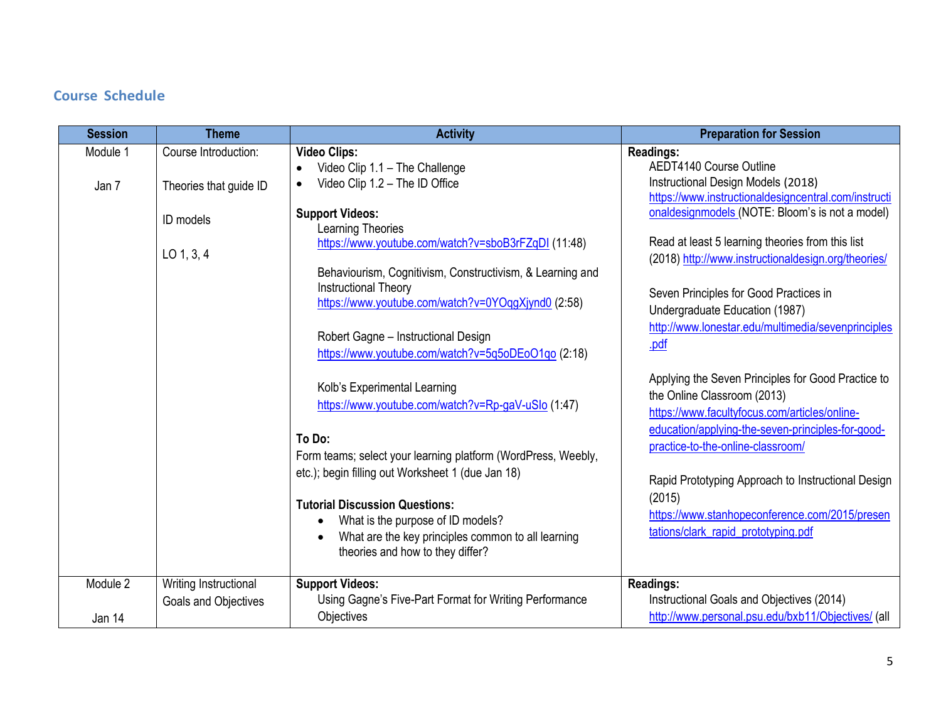# **Course Schedule**

| <b>Session</b>     | <b>Theme</b>                                                                | <b>Activity</b>                                                                                                                                                                                                                                                                                                                                                                                                                                                                                                                                                                                                                                                                                                                                                                                                                                                                   | <b>Preparation for Session</b>                                                                                                                                                                                                                                                                                                                                                                                                                                                                                                                                                                                                                                                                                                                                                                                                             |
|--------------------|-----------------------------------------------------------------------------|-----------------------------------------------------------------------------------------------------------------------------------------------------------------------------------------------------------------------------------------------------------------------------------------------------------------------------------------------------------------------------------------------------------------------------------------------------------------------------------------------------------------------------------------------------------------------------------------------------------------------------------------------------------------------------------------------------------------------------------------------------------------------------------------------------------------------------------------------------------------------------------|--------------------------------------------------------------------------------------------------------------------------------------------------------------------------------------------------------------------------------------------------------------------------------------------------------------------------------------------------------------------------------------------------------------------------------------------------------------------------------------------------------------------------------------------------------------------------------------------------------------------------------------------------------------------------------------------------------------------------------------------------------------------------------------------------------------------------------------------|
| Module 1<br>Jan 7  | Course Introduction:<br>Theories that guide ID<br>ID models<br>$LO$ 1, 3, 4 | <b>Video Clips:</b><br>Video Clip 1.1 - The Challenge<br>$\bullet$<br>Video Clip 1.2 - The ID Office<br>$\bullet$<br><b>Support Videos:</b><br>Learning Theories<br>https://www.youtube.com/watch?v=sboB3rFZqDI (11:48)<br>Behaviourism, Cognitivism, Constructivism, & Learning and<br><b>Instructional Theory</b><br>https://www.youtube.com/watch?v=0YOqgXjynd0 (2:58)<br>Robert Gagne - Instructional Design<br>https://www.youtube.com/watch?v=5q5oDEoO1qo (2:18)<br>Kolb's Experimental Learning<br>https://www.youtube.com/watch?v=Rp-gaV-uSlo (1:47)<br>To Do:<br>Form teams; select your learning platform (WordPress, Weebly,<br>etc.); begin filling out Worksheet 1 (due Jan 18)<br><b>Tutorial Discussion Questions:</b><br>What is the purpose of ID models?<br>$\bullet$<br>What are the key principles common to all learning<br>theories and how to they differ? | <b>Readings:</b><br>AEDT4140 Course Outline<br>Instructional Design Models (2018)<br>https://www.instructionaldesigncentral.com/instructi<br>onaldesignmodels (NOTE: Bloom's is not a model)<br>Read at least 5 learning theories from this list<br>(2018) http://www.instructionaldesign.org/theories/<br>Seven Principles for Good Practices in<br>Undergraduate Education (1987)<br>http://www.lonestar.edu/multimedia/sevenprinciples<br>.pdf<br>Applying the Seven Principles for Good Practice to<br>the Online Classroom (2013)<br>https://www.facultyfocus.com/articles/online-<br>education/applying-the-seven-principles-for-good-<br>practice-to-the-online-classroom/<br>Rapid Prototyping Approach to Instructional Design<br>(2015)<br>https://www.stanhopeconference.com/2015/presen<br>tations/clark_rapid_prototyping.pdf |
| Module 2<br>Jan 14 | Writing Instructional<br>Goals and Objectives                               | <b>Support Videos:</b><br>Using Gagne's Five-Part Format for Writing Performance<br>Objectives                                                                                                                                                                                                                                                                                                                                                                                                                                                                                                                                                                                                                                                                                                                                                                                    | <b>Readings:</b><br>Instructional Goals and Objectives (2014)<br>http://www.personal.psu.edu/bxb11/Objectives/ (all                                                                                                                                                                                                                                                                                                                                                                                                                                                                                                                                                                                                                                                                                                                        |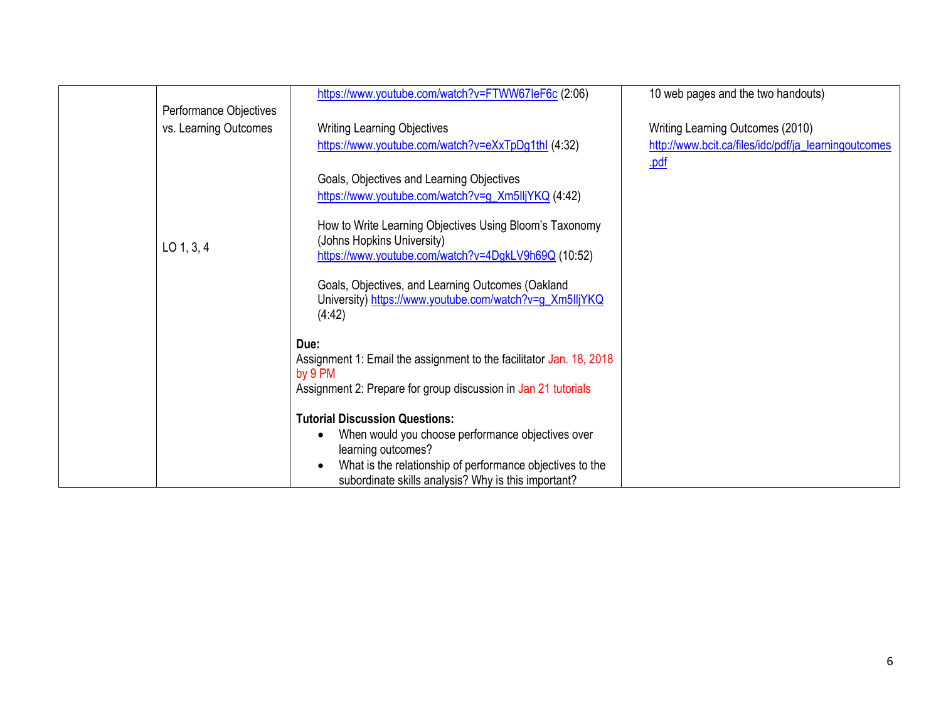|                        | https://www.youtube.com/watch?v=FTWW67leF6c (2:06)                  | 10 web pages and the two handouts)                   |
|------------------------|---------------------------------------------------------------------|------------------------------------------------------|
| Performance Objectives |                                                                     |                                                      |
| vs. Learning Outcomes  | <b>Writing Learning Objectives</b>                                  | Writing Learning Outcomes (2010)                     |
|                        | https://www.youtube.com/watch?v=eXxTpDg1thl (4:32)                  | http://www.bcit.ca/files/idc/pdf/ja_learningoutcomes |
|                        |                                                                     | .pdf                                                 |
|                        | Goals, Objectives and Learning Objectives                           |                                                      |
|                        |                                                                     |                                                      |
|                        | https://www.youtube.com/watch?v=g_Xm5lljYKQ (4:42)                  |                                                      |
|                        |                                                                     |                                                      |
|                        | How to Write Learning Objectives Using Bloom's Taxonomy             |                                                      |
| $LO$ 1, 3, 4           | (Johns Hopkins University)                                          |                                                      |
|                        | https://www.youtube.com/watch?v=4DgkLV9h69Q (10:52)                 |                                                      |
|                        | Goals, Objectives, and Learning Outcomes (Oakland                   |                                                      |
|                        | University) https://www.youtube.com/watch?v=g_Xm5lljYKQ             |                                                      |
|                        | (4:42)                                                              |                                                      |
|                        |                                                                     |                                                      |
|                        | Due:                                                                |                                                      |
|                        | Assignment 1: Email the assignment to the facilitator Jan. 18, 2018 |                                                      |
|                        | by 9 PM                                                             |                                                      |
|                        | Assignment 2: Prepare for group discussion in Jan 21 tutorials      |                                                      |
|                        |                                                                     |                                                      |
|                        | <b>Tutorial Discussion Questions:</b>                               |                                                      |
|                        | When would you choose performance objectives over                   |                                                      |
|                        | learning outcomes?                                                  |                                                      |
|                        | What is the relationship of performance objectives to the           |                                                      |
|                        | subordinate skills analysis? Why is this important?                 |                                                      |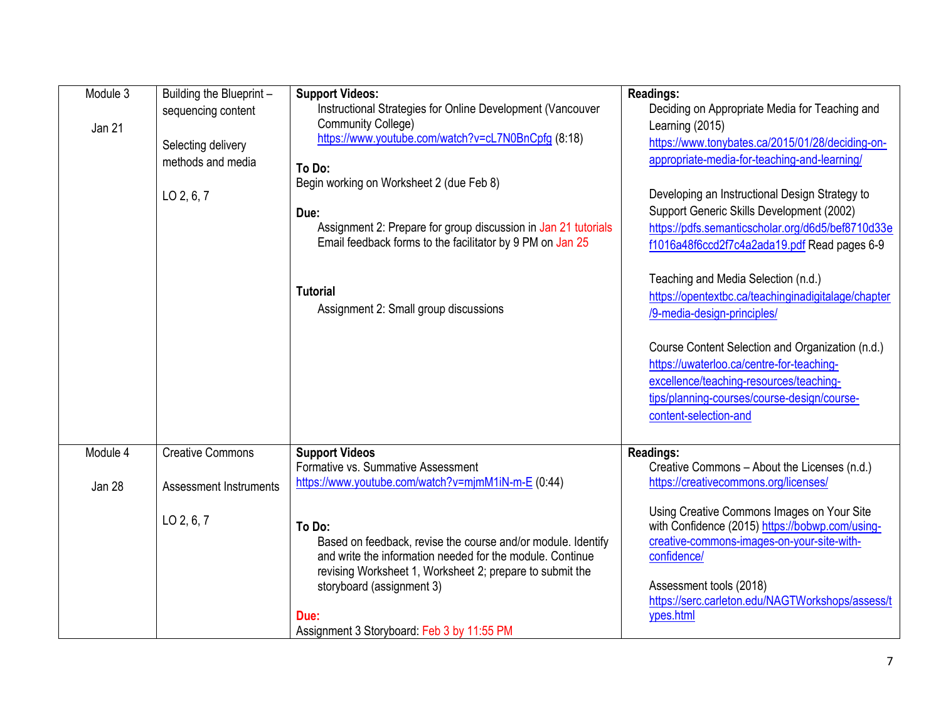| Module 3<br>Jan 21 | Building the Blueprint -<br>sequencing content<br>Selecting delivery<br>methods and media<br>$LO$ 2, 6, 7 | <b>Support Videos:</b><br>Instructional Strategies for Online Development (Vancouver<br><b>Community College)</b><br>https://www.youtube.com/watch?v=cL7N0BnCpfg (8:18)<br>To Do:<br>Begin working on Worksheet 2 (due Feb 8)<br>Due:<br>Assignment 2: Prepare for group discussion in Jan 21 tutorials<br>Email feedback forms to the facilitator by 9 PM on Jan 25<br><b>Tutorial</b><br>Assignment 2: Small group discussions | <b>Readings:</b><br>Deciding on Appropriate Media for Teaching and<br>Learning (2015)<br>https://www.tonybates.ca/2015/01/28/deciding-on-<br>appropriate-media-for-teaching-and-learning/<br>Developing an Instructional Design Strategy to<br>Support Generic Skills Development (2002)<br>https://pdfs.semanticscholar.org/d6d5/bef8710d33e<br>f1016a48f6ccd2f7c4a2ada19.pdf Read pages 6-9<br>Teaching and Media Selection (n.d.)<br>https://opentextbc.ca/teachinginadigitalage/chapter<br>/9-media-design-principles/<br>Course Content Selection and Organization (n.d.)<br>https://uwaterloo.ca/centre-for-teaching-<br>excellence/teaching-resources/teaching-<br>tips/planning-courses/course-design/course-<br>content-selection-and |
|--------------------|-----------------------------------------------------------------------------------------------------------|----------------------------------------------------------------------------------------------------------------------------------------------------------------------------------------------------------------------------------------------------------------------------------------------------------------------------------------------------------------------------------------------------------------------------------|------------------------------------------------------------------------------------------------------------------------------------------------------------------------------------------------------------------------------------------------------------------------------------------------------------------------------------------------------------------------------------------------------------------------------------------------------------------------------------------------------------------------------------------------------------------------------------------------------------------------------------------------------------------------------------------------------------------------------------------------|
| Module 4           | <b>Creative Commons</b>                                                                                   | <b>Support Videos</b><br>Formative vs. Summative Assessment<br>https://www.youtube.com/watch?v=mjmM1iN-m-E (0:44)                                                                                                                                                                                                                                                                                                                | <b>Readings:</b><br>Creative Commons - About the Licenses (n.d.)<br>https://creativecommons.org/licenses/                                                                                                                                                                                                                                                                                                                                                                                                                                                                                                                                                                                                                                      |
| Jan 28             | <b>Assessment Instruments</b><br>LO 2, 6, 7                                                               | To Do:<br>Based on feedback, revise the course and/or module. Identify<br>and write the information needed for the module. Continue<br>revising Worksheet 1, Worksheet 2; prepare to submit the<br>storyboard (assignment 3)<br>Due:<br>Assignment 3 Storyboard: Feb 3 by 11:55 PM                                                                                                                                               | Using Creative Commons Images on Your Site<br>with Confidence (2015) https://bobwp.com/using-<br>creative-commons-images-on-your-site-with-<br>confidence/<br>Assessment tools (2018)<br>https://serc.carleton.edu/NAGTWorkshops/assess/t<br>ypes.html                                                                                                                                                                                                                                                                                                                                                                                                                                                                                         |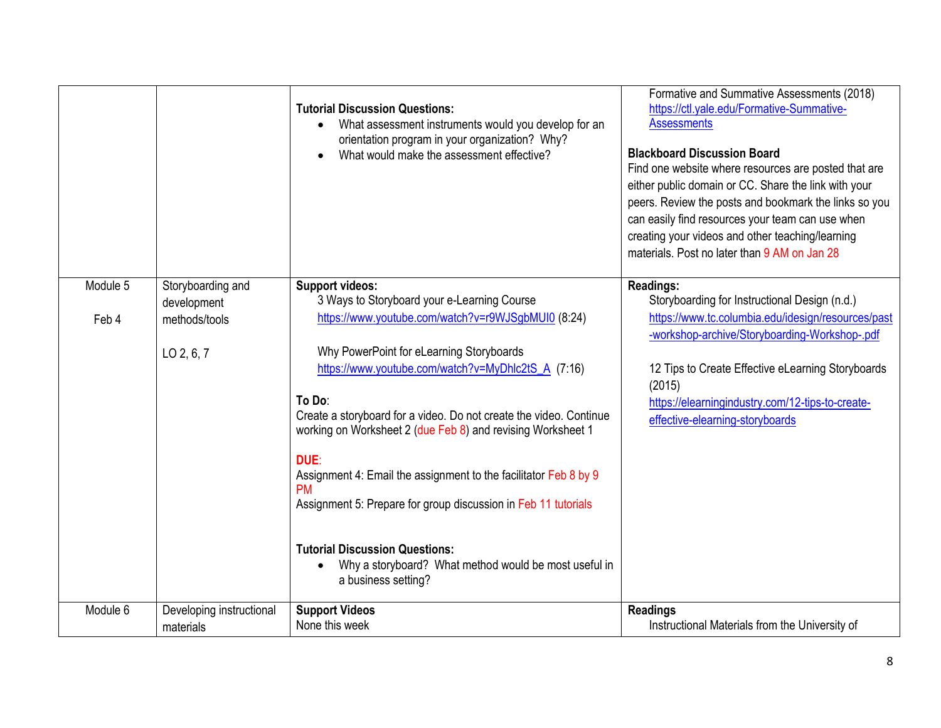|          |                                  | <b>Tutorial Discussion Questions:</b><br>What assessment instruments would you develop for an<br>$\bullet$<br>orientation program in your organization? Why?<br>What would make the assessment effective? | Formative and Summative Assessments (2018)<br>https://ctl.yale.edu/Formative-Summative-<br><b>Assessments</b><br><b>Blackboard Discussion Board</b><br>Find one website where resources are posted that are<br>either public domain or CC. Share the link with your<br>peers. Review the posts and bookmark the links so you<br>can easily find resources your team can use when<br>creating your videos and other teaching/learning<br>materials. Post no later than 9 AM on Jan 28 |
|----------|----------------------------------|-----------------------------------------------------------------------------------------------------------------------------------------------------------------------------------------------------------|--------------------------------------------------------------------------------------------------------------------------------------------------------------------------------------------------------------------------------------------------------------------------------------------------------------------------------------------------------------------------------------------------------------------------------------------------------------------------------------|
| Module 5 | Storyboarding and<br>development | <b>Support videos:</b><br>3 Ways to Storyboard your e-Learning Course                                                                                                                                     | <b>Readings:</b><br>Storyboarding for Instructional Design (n.d.)                                                                                                                                                                                                                                                                                                                                                                                                                    |
| Feb 4    | methods/tools                    | https://www.youtube.com/watch?v=r9WJSgbMUI0 (8:24)                                                                                                                                                        | https://www.tc.columbia.edu/idesign/resources/past<br>-workshop-archive/Storyboarding-Workshop-.pdf                                                                                                                                                                                                                                                                                                                                                                                  |
|          | LO 2, 6, 7                       | Why PowerPoint for eLearning Storyboards                                                                                                                                                                  |                                                                                                                                                                                                                                                                                                                                                                                                                                                                                      |
|          |                                  | https://www.youtube.com/watch?v=MyDhlc2tS_A (7:16)                                                                                                                                                        | 12 Tips to Create Effective eLearning Storyboards<br>(2015)                                                                                                                                                                                                                                                                                                                                                                                                                          |
|          |                                  | To Do:                                                                                                                                                                                                    | https://elearningindustry.com/12-tips-to-create-                                                                                                                                                                                                                                                                                                                                                                                                                                     |
|          |                                  | Create a storyboard for a video. Do not create the video. Continue<br>working on Worksheet 2 (due Feb 8) and revising Worksheet 1                                                                         | effective-elearning-storyboards                                                                                                                                                                                                                                                                                                                                                                                                                                                      |
|          |                                  | DUE:                                                                                                                                                                                                      |                                                                                                                                                                                                                                                                                                                                                                                                                                                                                      |
|          |                                  | Assignment 4: Email the assignment to the facilitator Feb 8 by 9<br><b>PM</b>                                                                                                                             |                                                                                                                                                                                                                                                                                                                                                                                                                                                                                      |
|          |                                  | Assignment 5: Prepare for group discussion in Feb 11 tutorials                                                                                                                                            |                                                                                                                                                                                                                                                                                                                                                                                                                                                                                      |
|          |                                  | <b>Tutorial Discussion Questions:</b>                                                                                                                                                                     |                                                                                                                                                                                                                                                                                                                                                                                                                                                                                      |
|          |                                  | Why a storyboard? What method would be most useful in<br>a business setting?                                                                                                                              |                                                                                                                                                                                                                                                                                                                                                                                                                                                                                      |
| Module 6 | Developing instructional         | <b>Support Videos</b>                                                                                                                                                                                     | <b>Readings</b>                                                                                                                                                                                                                                                                                                                                                                                                                                                                      |
|          | materials                        | None this week                                                                                                                                                                                            | Instructional Materials from the University of                                                                                                                                                                                                                                                                                                                                                                                                                                       |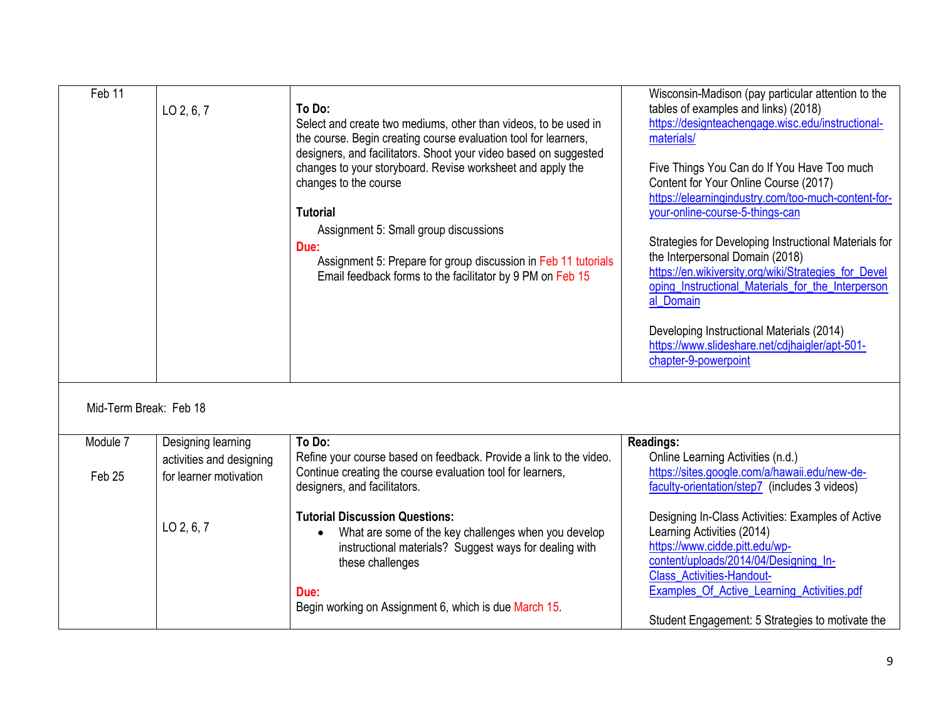| Feb 11                 | LO 2, 6, 7                                         | To Do:<br>Select and create two mediums, other than videos, to be used in<br>the course. Begin creating course evaluation tool for learners,<br>designers, and facilitators. Shoot your video based on suggested<br>changes to your storyboard. Revise worksheet and apply the<br>changes to the course<br><b>Tutorial</b><br>Assignment 5: Small group discussions<br>Due:<br>Assignment 5: Prepare for group discussion in Feb 11 tutorials<br>Email feedback forms to the facilitator by 9 PM on Feb 15 | Wisconsin-Madison (pay particular attention to the<br>tables of examples and links) (2018)<br>https://designteachengage.wisc.edu/instructional-<br>materials/<br>Five Things You Can do If You Have Too much<br>Content for Your Online Course (2017)<br>https://elearningindustry.com/too-much-content-for-<br>your-online-course-5-things-can<br>Strategies for Developing Instructional Materials for<br>the Interpersonal Domain (2018)<br>https://en.wikiversity.org/wiki/Strategies_for_Devel<br>oping Instructional Materials for the Interperson<br>al Domain<br>Developing Instructional Materials (2014)<br>https://www.slideshare.net/cdihaigler/apt-501-<br>chapter-9-powerpoint |
|------------------------|----------------------------------------------------|------------------------------------------------------------------------------------------------------------------------------------------------------------------------------------------------------------------------------------------------------------------------------------------------------------------------------------------------------------------------------------------------------------------------------------------------------------------------------------------------------------|----------------------------------------------------------------------------------------------------------------------------------------------------------------------------------------------------------------------------------------------------------------------------------------------------------------------------------------------------------------------------------------------------------------------------------------------------------------------------------------------------------------------------------------------------------------------------------------------------------------------------------------------------------------------------------------------|
| Mid-Term Break: Feb 18 |                                                    |                                                                                                                                                                                                                                                                                                                                                                                                                                                                                                            |                                                                                                                                                                                                                                                                                                                                                                                                                                                                                                                                                                                                                                                                                              |
| Module 7               | Designing learning                                 | To Do:                                                                                                                                                                                                                                                                                                                                                                                                                                                                                                     | <b>Readings:</b>                                                                                                                                                                                                                                                                                                                                                                                                                                                                                                                                                                                                                                                                             |
| Feb 25                 | activities and designing<br>for learner motivation | Refine your course based on feedback. Provide a link to the video.<br>Continue creating the course evaluation tool for learners,<br>designers, and facilitators.                                                                                                                                                                                                                                                                                                                                           | Online Learning Activities (n.d.)<br>https://sites.google.com/a/hawaii.edu/new-de-<br>faculty-orientation/step7 (includes 3 videos)                                                                                                                                                                                                                                                                                                                                                                                                                                                                                                                                                          |
|                        | LO 2, 6, 7                                         | <b>Tutorial Discussion Questions:</b><br>What are some of the key challenges when you develop<br>$\bullet$<br>instructional materials? Suggest ways for dealing with<br>these challenges                                                                                                                                                                                                                                                                                                                   | Designing In-Class Activities: Examples of Active<br>Learning Activities (2014)<br>https://www.cidde.pitt.edu/wp-<br>content/uploads/2014/04/Designing_In-<br><b>Class Activities-Handout-</b>                                                                                                                                                                                                                                                                                                                                                                                                                                                                                               |
|                        |                                                    | Due:<br>Begin working on Assignment 6, which is due March 15.                                                                                                                                                                                                                                                                                                                                                                                                                                              | Examples_Of_Active_Learning_Activities.pdf<br>Student Engagement: 5 Strategies to motivate the                                                                                                                                                                                                                                                                                                                                                                                                                                                                                                                                                                                               |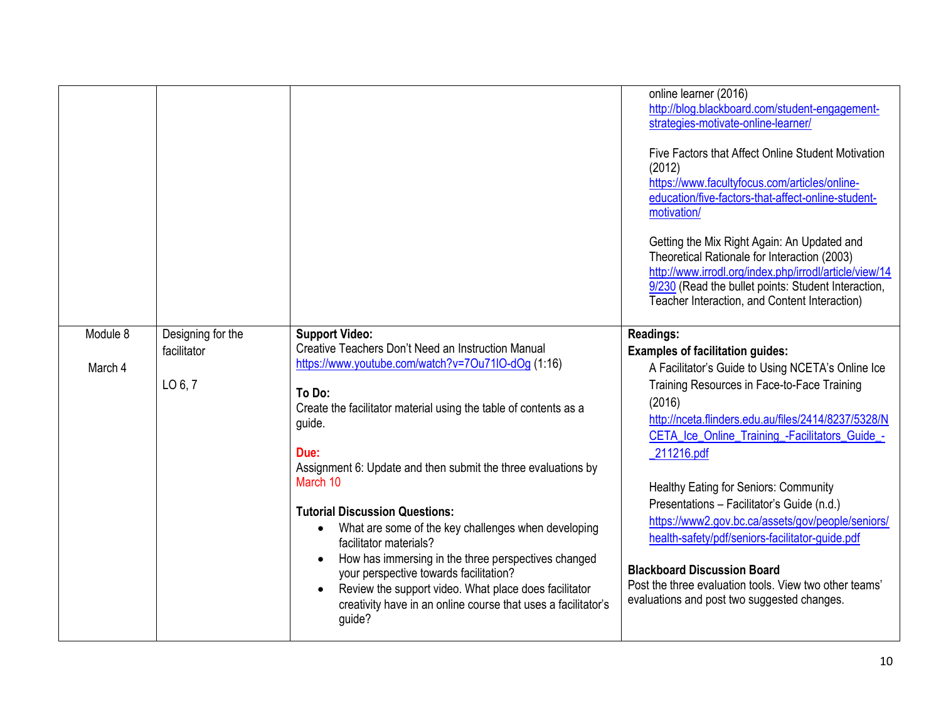|          |                   |                                                                  | online learner (2016)<br>http://blog.blackboard.com/student-engagement-<br>strategies-motivate-online-learner/<br>Five Factors that Affect Online Student Motivation<br>(2012)<br>https://www.facultyfocus.com/articles/online-<br>education/five-factors-that-affect-online-student-<br>motivation/<br>Getting the Mix Right Again: An Updated and<br>Theoretical Rationale for Interaction (2003)<br>http://www.irrodl.org/index.php/irrodl/article/view/14<br>9/230 (Read the bullet points: Student Interaction,<br>Teacher Interaction, and Content Interaction) |
|----------|-------------------|------------------------------------------------------------------|-----------------------------------------------------------------------------------------------------------------------------------------------------------------------------------------------------------------------------------------------------------------------------------------------------------------------------------------------------------------------------------------------------------------------------------------------------------------------------------------------------------------------------------------------------------------------|
| Module 8 |                   | <b>Support Video:</b>                                            |                                                                                                                                                                                                                                                                                                                                                                                                                                                                                                                                                                       |
|          | Designing for the | Creative Teachers Don't Need an Instruction Manual               | <b>Readings:</b>                                                                                                                                                                                                                                                                                                                                                                                                                                                                                                                                                      |
|          | facilitator       |                                                                  | <b>Examples of facilitation guides:</b>                                                                                                                                                                                                                                                                                                                                                                                                                                                                                                                               |
| March 4  |                   | https://www.youtube.com/watch?v=7Ou71IO-dOg (1:16)               | A Facilitator's Guide to Using NCETA's Online Ice                                                                                                                                                                                                                                                                                                                                                                                                                                                                                                                     |
|          | LO $6, 7$         |                                                                  | Training Resources in Face-to-Face Training                                                                                                                                                                                                                                                                                                                                                                                                                                                                                                                           |
|          |                   | To Do:                                                           | (2016)                                                                                                                                                                                                                                                                                                                                                                                                                                                                                                                                                                |
|          |                   | Create the facilitator material using the table of contents as a | http://nceta.flinders.edu.au/files/2414/8237/5328/N                                                                                                                                                                                                                                                                                                                                                                                                                                                                                                                   |
|          |                   | guide.                                                           |                                                                                                                                                                                                                                                                                                                                                                                                                                                                                                                                                                       |
|          |                   |                                                                  | CETA_Ice_Online_Training_-Facilitators_Guide_-                                                                                                                                                                                                                                                                                                                                                                                                                                                                                                                        |
|          |                   | Due:                                                             | 211216.pdf                                                                                                                                                                                                                                                                                                                                                                                                                                                                                                                                                            |
|          |                   | Assignment 6: Update and then submit the three evaluations by    |                                                                                                                                                                                                                                                                                                                                                                                                                                                                                                                                                                       |
|          |                   | March 10                                                         | Healthy Eating for Seniors: Community                                                                                                                                                                                                                                                                                                                                                                                                                                                                                                                                 |
|          |                   |                                                                  |                                                                                                                                                                                                                                                                                                                                                                                                                                                                                                                                                                       |
|          |                   |                                                                  |                                                                                                                                                                                                                                                                                                                                                                                                                                                                                                                                                                       |
|          |                   | <b>Tutorial Discussion Questions:</b>                            | Presentations - Facilitator's Guide (n.d.)                                                                                                                                                                                                                                                                                                                                                                                                                                                                                                                            |
|          |                   | What are some of the key challenges when developing<br>$\bullet$ | https://www2.gov.bc.ca/assets/gov/people/seniors/                                                                                                                                                                                                                                                                                                                                                                                                                                                                                                                     |
|          |                   | facilitator materials?                                           | health-safety/pdf/seniors-facilitator-guide.pdf                                                                                                                                                                                                                                                                                                                                                                                                                                                                                                                       |
|          |                   | How has immersing in the three perspectives changed              |                                                                                                                                                                                                                                                                                                                                                                                                                                                                                                                                                                       |
|          |                   | your perspective towards facilitation?                           | <b>Blackboard Discussion Board</b>                                                                                                                                                                                                                                                                                                                                                                                                                                                                                                                                    |
|          |                   | Review the support video. What place does facilitator            | Post the three evaluation tools. View two other teams'                                                                                                                                                                                                                                                                                                                                                                                                                                                                                                                |
|          |                   | creativity have in an online course that uses a facilitator's    | evaluations and post two suggested changes.                                                                                                                                                                                                                                                                                                                                                                                                                                                                                                                           |
|          |                   | guide?                                                           |                                                                                                                                                                                                                                                                                                                                                                                                                                                                                                                                                                       |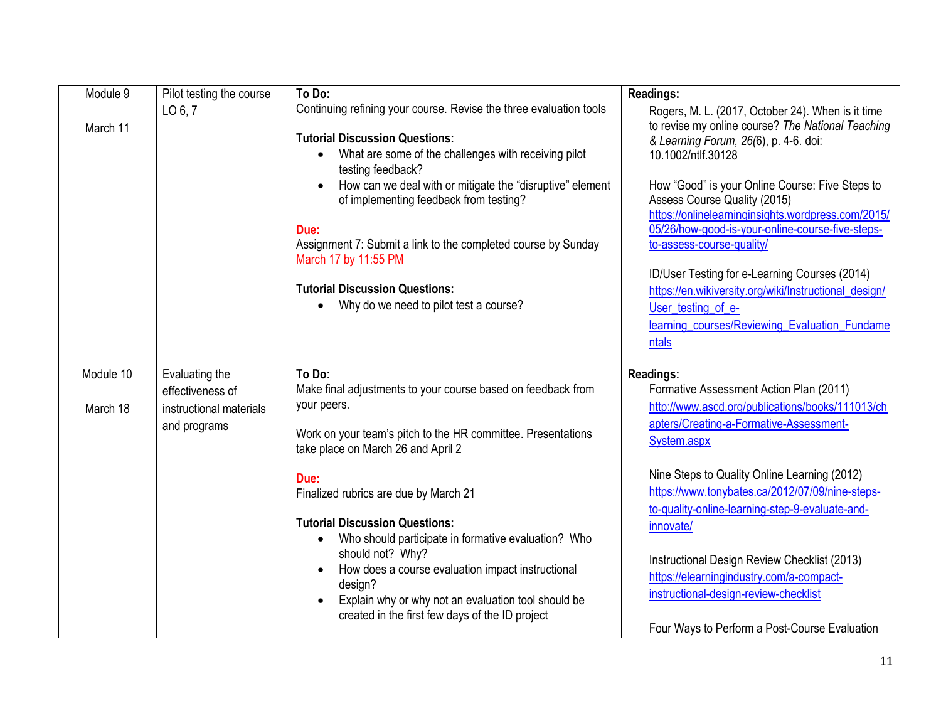| Module 9  | Pilot testing the course | To Do:                                                                                                 | <b>Readings:</b>                                                                                                                      |
|-----------|--------------------------|--------------------------------------------------------------------------------------------------------|---------------------------------------------------------------------------------------------------------------------------------------|
|           | LO 6, 7                  | Continuing refining your course. Revise the three evaluation tools                                     | Rogers, M. L. (2017, October 24). When is it time                                                                                     |
| March 11  |                          | <b>Tutorial Discussion Questions:</b>                                                                  | to revise my online course? The National Teaching                                                                                     |
|           |                          |                                                                                                        | & Learning Forum, 26(6), p. 4-6. doi:                                                                                                 |
|           |                          | What are some of the challenges with receiving pilot<br>testing feedback?                              | 10.1002/ntlf.30128                                                                                                                    |
|           |                          | How can we deal with or mitigate the "disruptive" element<br>of implementing feedback from testing?    | How "Good" is your Online Course: Five Steps to<br>Assess Course Quality (2015)<br>https://onlinelearninginsights.wordpress.com/2015/ |
|           |                          | Due:                                                                                                   | 05/26/how-good-is-your-online-course-five-steps-                                                                                      |
|           |                          | Assignment 7: Submit a link to the completed course by Sunday<br>March 17 by 11:55 PM                  | to-assess-course-quality/                                                                                                             |
|           |                          |                                                                                                        | ID/User Testing for e-Learning Courses (2014)                                                                                         |
|           |                          | <b>Tutorial Discussion Questions:</b>                                                                  | https://en.wikiversity.org/wiki/Instructional design/                                                                                 |
|           |                          | Why do we need to pilot test a course?                                                                 | User_testing_of_e-                                                                                                                    |
|           |                          |                                                                                                        | learning_courses/Reviewing_Evaluation_Fundame                                                                                         |
|           |                          |                                                                                                        | ntals                                                                                                                                 |
|           |                          |                                                                                                        |                                                                                                                                       |
| Module 10 | Evaluating the           | To Do:                                                                                                 | <b>Readings:</b>                                                                                                                      |
|           | effectiveness of         | Make final adjustments to your course based on feedback from                                           | Formative Assessment Action Plan (2011)                                                                                               |
| March 18  | instructional materials  | your peers.                                                                                            | http://www.ascd.org/publications/books/111013/ch                                                                                      |
|           | and programs             |                                                                                                        | apters/Creating-a-Formative-Assessment-                                                                                               |
|           |                          | Work on your team's pitch to the HR committee. Presentations<br>take place on March 26 and April 2     | System.aspx                                                                                                                           |
|           |                          | Due:                                                                                                   | Nine Steps to Quality Online Learning (2012)                                                                                          |
|           |                          | Finalized rubrics are due by March 21                                                                  | https://www.tonybates.ca/2012/07/09/nine-steps-                                                                                       |
|           |                          |                                                                                                        | to-quality-online-learning-step-9-evaluate-and-                                                                                       |
|           |                          | <b>Tutorial Discussion Questions:</b>                                                                  | innovate/                                                                                                                             |
|           |                          | Who should participate in formative evaluation? Who<br>$\bullet$                                       |                                                                                                                                       |
|           |                          | should not? Why?                                                                                       | Instructional Design Review Checklist (2013)                                                                                          |
|           |                          | How does a course evaluation impact instructional<br>$\bullet$                                         | https://elearningindustry.com/a-compact-                                                                                              |
|           |                          | design?                                                                                                | instructional-design-review-checklist                                                                                                 |
|           |                          | Explain why or why not an evaluation tool should be<br>created in the first few days of the ID project |                                                                                                                                       |
|           |                          |                                                                                                        | Four Ways to Perform a Post-Course Evaluation                                                                                         |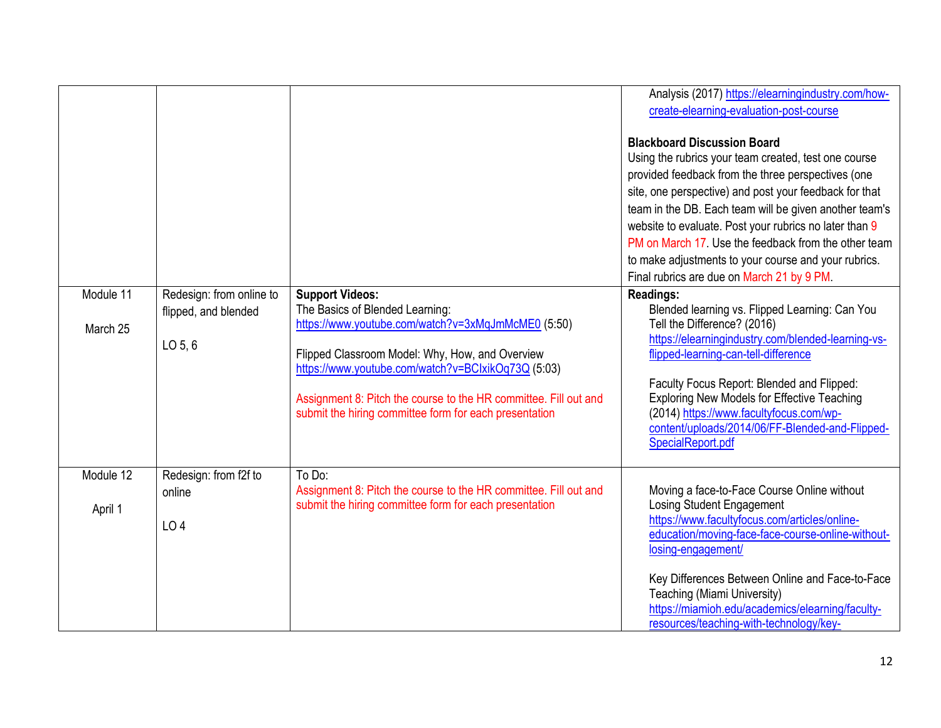|                       |                                                               |                                                                                                                                                                                                                                                                                                                                                        | Analysis (2017) https://elearningindustry.com/how-<br>create-elearning-evaluation-post-course                                                                                                                                                                                                                                                                                                                                                                                                |
|-----------------------|---------------------------------------------------------------|--------------------------------------------------------------------------------------------------------------------------------------------------------------------------------------------------------------------------------------------------------------------------------------------------------------------------------------------------------|----------------------------------------------------------------------------------------------------------------------------------------------------------------------------------------------------------------------------------------------------------------------------------------------------------------------------------------------------------------------------------------------------------------------------------------------------------------------------------------------|
|                       |                                                               |                                                                                                                                                                                                                                                                                                                                                        | <b>Blackboard Discussion Board</b><br>Using the rubrics your team created, test one course<br>provided feedback from the three perspectives (one<br>site, one perspective) and post your feedback for that<br>team in the DB. Each team will be given another team's<br>website to evaluate. Post your rubrics no later than 9<br>PM on March 17. Use the feedback from the other team<br>to make adjustments to your course and your rubrics.<br>Final rubrics are due on March 21 by 9 PM. |
| Module 11<br>March 25 | Redesign: from online to<br>flipped, and blended<br>$LO$ 5, 6 | <b>Support Videos:</b><br>The Basics of Blended Learning:<br>https://www.youtube.com/watch?v=3xMqJmMcME0 (5:50)<br>Flipped Classroom Model: Why, How, and Overview<br>https://www.youtube.com/watch?v=BClxikOq73Q (5:03)<br>Assignment 8: Pitch the course to the HR committee. Fill out and<br>submit the hiring committee form for each presentation | Readings:<br>Blended learning vs. Flipped Learning: Can You<br>Tell the Difference? (2016)<br>https://elearningindustry.com/blended-learning-vs-<br>flipped-learning-can-tell-difference<br>Faculty Focus Report: Blended and Flipped:<br><b>Exploring New Models for Effective Teaching</b><br>(2014) https://www.facultyfocus.com/wp-<br>content/uploads/2014/06/FF-Blended-and-Flipped-<br>SpecialReport.pdf                                                                              |
| Module 12<br>April 1  | Redesign: from f2f to<br>online<br>LO 4                       | To Do:<br>Assignment 8: Pitch the course to the HR committee. Fill out and<br>submit the hiring committee form for each presentation                                                                                                                                                                                                                   | Moving a face-to-Face Course Online without<br>Losing Student Engagement<br>https://www.facultyfocus.com/articles/online-<br>education/moving-face-face-course-online-without-<br>losing-engagement/<br>Key Differences Between Online and Face-to-Face<br>Teaching (Miami University)<br>https://miamioh.edu/academics/elearning/faculty-<br>resources/teaching-with-technology/key-                                                                                                        |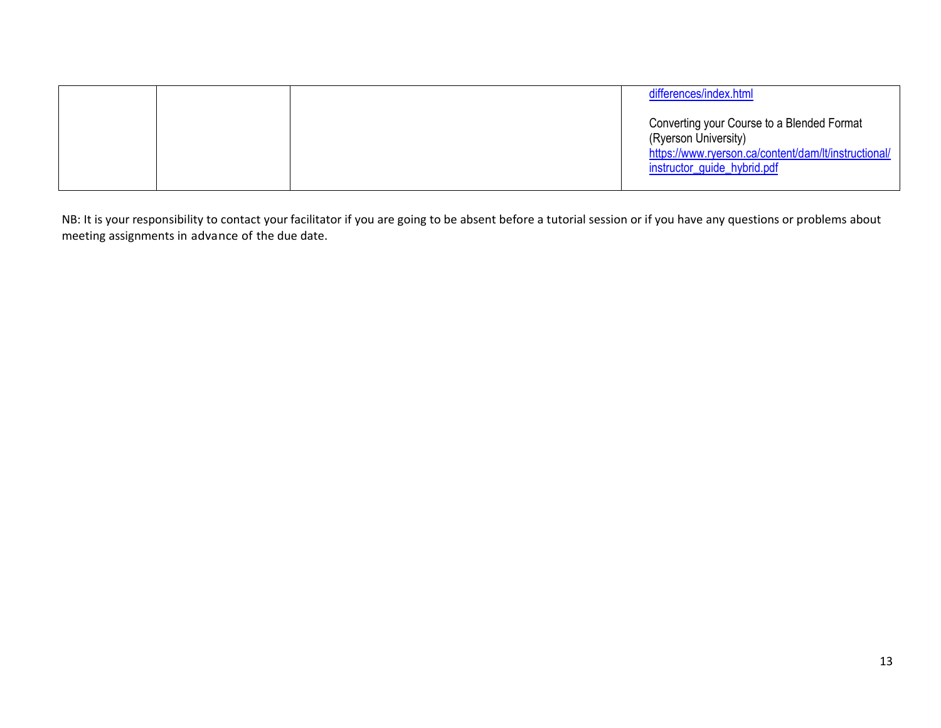|  | differences/index.html                                                                                                                                    |
|--|-----------------------------------------------------------------------------------------------------------------------------------------------------------|
|  | Converting your Course to a Blended Format<br>(Ryerson University)<br>https://www.ryerson.ca/content/dam/lt/instructional/<br>instructor_guide_hybrid.pdf |

NB: It is your responsibility to contact your facilitator if you are going to be absent before a tutorial session or if you have any questions or problems about meeting assignments in advance of the due date.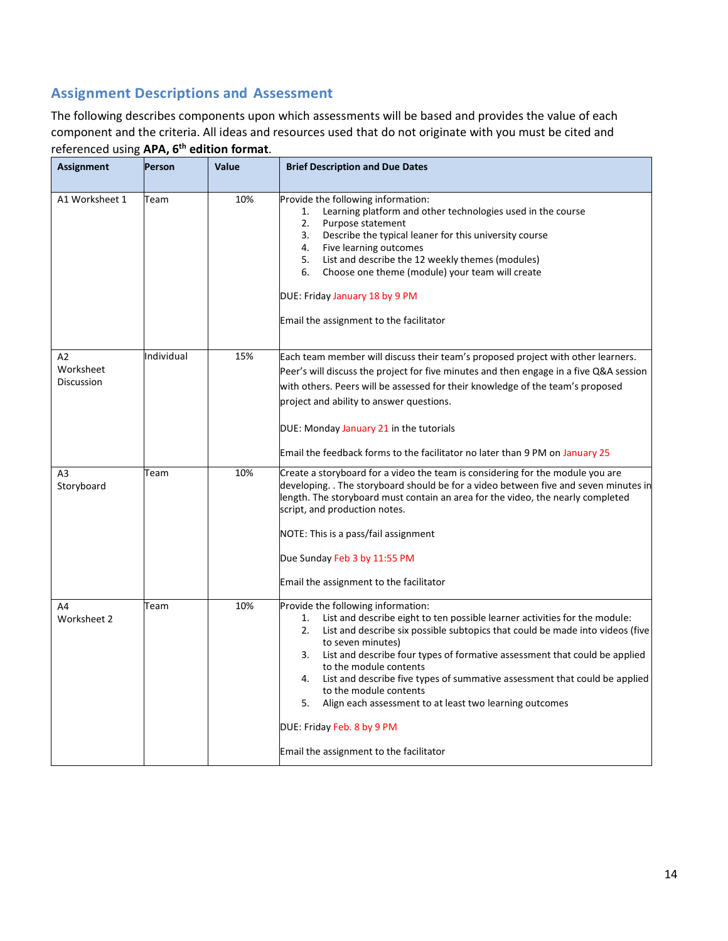# **Assignment Descriptions and Assessment**

The following describes components upon which assessments will be based and provides the value of each component and the criteria. All ideas and resources used that do not originate with you must be cited and referenced using **APA, 6th edition format**.

| <b>Assignment</b>                    | <b>Person</b> | Value | <b>Brief Description and Due Dates</b>                                                                                                                                                                                                                                                                                                                                                                                                                                                                                                                                                                   |
|--------------------------------------|---------------|-------|----------------------------------------------------------------------------------------------------------------------------------------------------------------------------------------------------------------------------------------------------------------------------------------------------------------------------------------------------------------------------------------------------------------------------------------------------------------------------------------------------------------------------------------------------------------------------------------------------------|
| A1 Worksheet 1                       | Team          | 10%   | Provide the following information:<br>Learning platform and other technologies used in the course<br>1.<br>2.<br>Purpose statement<br>3.<br>Describe the typical leaner for this university course<br>Five learning outcomes<br>4.<br>List and describe the 12 weekly themes (modules)<br>5.<br>Choose one theme (module) your team will create<br>6.<br>DUE: Friday January 18 by 9 PM<br>Email the assignment to the facilitator                                                                                                                                                                       |
| A2<br>Worksheet<br><b>Discussion</b> | Individual    | 15%   | Each team member will discuss their team's proposed project with other learners.<br>Peer's will discuss the project for five minutes and then engage in a five Q&A session<br>with others. Peers will be assessed for their knowledge of the team's proposed<br>project and ability to answer questions.<br>DUE: Monday January 21 in the tutorials<br>Email the feedback forms to the facilitator no later than 9 PM on January 25                                                                                                                                                                      |
| A <sub>3</sub><br>Storyboard         | Team          | 10%   | Create a storyboard for a video the team is considering for the module you are<br>developing. . The storyboard should be for a video between five and seven minutes in<br>length. The storyboard must contain an area for the video, the nearly completed<br>script, and production notes.<br>NOTE: This is a pass/fail assignment<br>Due Sunday Feb 3 by 11:55 PM<br>Email the assignment to the facilitator                                                                                                                                                                                            |
| A4<br>Worksheet 2                    | Team          | 10%   | Provide the following information:<br>List and describe eight to ten possible learner activities for the module:<br>1.<br>2.<br>List and describe six possible subtopics that could be made into videos (five<br>to seven minutes)<br>List and describe four types of formative assessment that could be applied<br>3.<br>to the module contents<br>List and describe five types of summative assessment that could be applied<br>4.<br>to the module contents<br>5.<br>Align each assessment to at least two learning outcomes<br>DUE: Friday Feb. 8 by 9 PM<br>Email the assignment to the facilitator |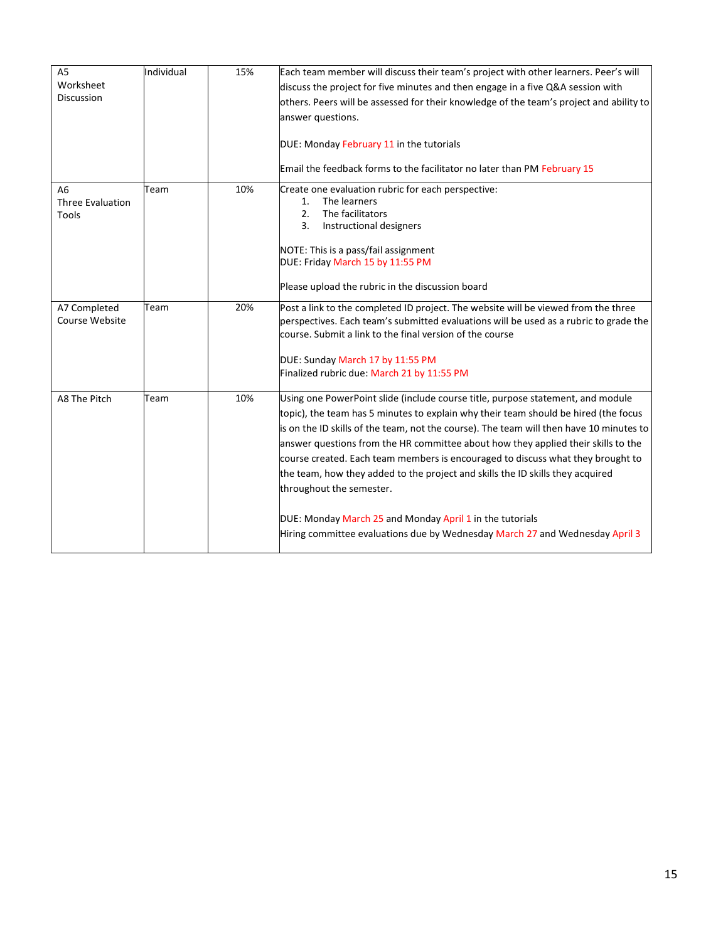| A <sub>5</sub><br>Worksheet<br><b>Discussion</b>   | Individual | 15% | Each team member will discuss their team's project with other learners. Peer's will<br>discuss the project for five minutes and then engage in a five Q&A session with<br>others. Peers will be assessed for their knowledge of the team's project and ability to<br>answer questions.<br>DUE: Monday February 11 in the tutorials<br>Email the feedback forms to the facilitator no later than PM February 15                                                                                                                                                                                                                                                                                      |
|----------------------------------------------------|------------|-----|-----------------------------------------------------------------------------------------------------------------------------------------------------------------------------------------------------------------------------------------------------------------------------------------------------------------------------------------------------------------------------------------------------------------------------------------------------------------------------------------------------------------------------------------------------------------------------------------------------------------------------------------------------------------------------------------------------|
| A <sub>6</sub><br><b>Three Evaluation</b><br>Tools | Team       | 10% | Create one evaluation rubric for each perspective:<br>The learners<br>1.<br>The facilitators<br>2.<br>Instructional designers<br>3.<br>NOTE: This is a pass/fail assignment<br>DUE: Friday March 15 by 11:55 PM<br>Please upload the rubric in the discussion board                                                                                                                                                                                                                                                                                                                                                                                                                                 |
| A7 Completed<br>Course Website                     | Team       | 20% | Post a link to the completed ID project. The website will be viewed from the three<br>perspectives. Each team's submitted evaluations will be used as a rubric to grade the<br>course. Submit a link to the final version of the course<br>DUE: Sunday March 17 by 11:55 PM<br>Finalized rubric due: March 21 by 11:55 PM                                                                                                                                                                                                                                                                                                                                                                           |
| A8 The Pitch                                       | Team       | 10% | Using one PowerPoint slide (include course title, purpose statement, and module<br>topic), the team has 5 minutes to explain why their team should be hired (the focus<br>is on the ID skills of the team, not the course). The team will then have 10 minutes to<br>answer questions from the HR committee about how they applied their skills to the<br>course created. Each team members is encouraged to discuss what they brought to<br>the team, how they added to the project and skills the ID skills they acquired<br>throughout the semester.<br>DUE: Monday March 25 and Monday April 1 in the tutorials<br>Hiring committee evaluations due by Wednesday March 27 and Wednesday April 3 |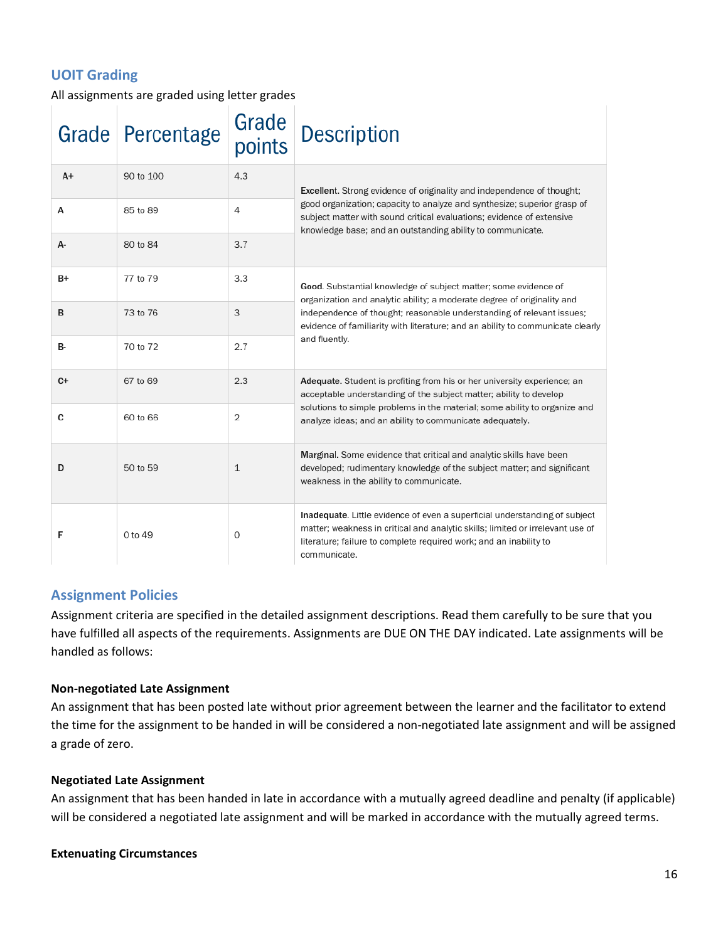# **UOIT Grading**

All assignments are graded using letter grades

|           | Grade Percentage | Grade<br>points | Description                                                                                                                                                                                                                                        |
|-----------|------------------|-----------------|----------------------------------------------------------------------------------------------------------------------------------------------------------------------------------------------------------------------------------------------------|
| $A+$      | 90 to 100        | 4.3             | Excellent. Strong evidence of originality and independence of thought;                                                                                                                                                                             |
| А         | 85 to 89         | 4               | good organization; capacity to analyze and synthesize; superior grasp of<br>subject matter with sound critical evaluations; evidence of extensive<br>knowledge base; and an outstanding ability to communicate.                                    |
| А-        | 80 to 84         | 3.7             |                                                                                                                                                                                                                                                    |
| B+        | 77 to 79         | 3.3             | Good. Substantial knowledge of subject matter; some evidence of<br>organization and analytic ability; a moderate degree of originality and                                                                                                         |
| B         | 73 to 76         | 3               | independence of thought; reasonable understanding of relevant issues;<br>evidence of familiarity with literature; and an ability to communicate clearly                                                                                            |
| <b>B-</b> | 70 to 72         | 2.7             | and fluently.                                                                                                                                                                                                                                      |
| $C+$      | 67 to 69         | 2.3             | Adequate. Student is profiting from his or her university experience; an<br>acceptable understanding of the subject matter; ability to develop                                                                                                     |
| C         | 60 to 66         | 2               | solutions to simple problems in the material; some ability to organize and<br>analyze ideas; and an ability to communicate adequately.                                                                                                             |
| D         | 50 to 59         | $\mathbf{1}$    | Marginal. Some evidence that critical and analytic skills have been<br>developed; rudimentary knowledge of the subject matter; and significant<br>weakness in the ability to communicate.                                                          |
| F         | 0 to 49          | 0               | Inadequate. Little evidence of even a superficial understanding of subject<br>matter; weakness in critical and analytic skills; limited or irrelevant use of<br>literature; failure to complete required work; and an inability to<br>communicate. |

# **Assignment Policies**

Assignment criteria are specified in the detailed assignment descriptions. Read them carefully to be sure that you have fulfilled all aspects of the requirements. Assignments are DUE ON THE DAY indicated. Late assignments will be handled as follows:

#### **Non-negotiated Late Assignment**

An assignment that has been posted late without prior agreement between the learner and the facilitator to extend the time for the assignment to be handed in will be considered a non-negotiated late assignment and will be assigned a grade of zero.

#### **Negotiated Late Assignment**

An assignment that has been handed in late in accordance with a mutually agreed deadline and penalty (if applicable) will be considered a negotiated late assignment and will be marked in accordance with the mutually agreed terms.

#### **Extenuating Circumstances**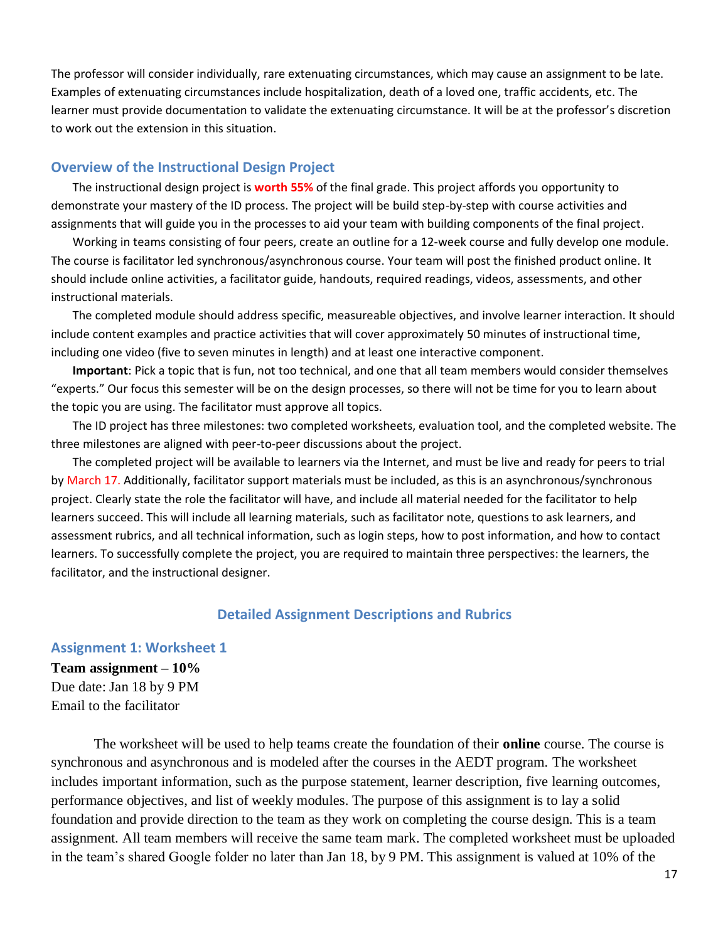The professor will consider individually, rare extenuating circumstances, which may cause an assignment to be late. Examples of extenuating circumstances include hospitalization, death of a loved one, traffic accidents, etc. The learner must provide documentation to validate the extenuating circumstance. It will be at the professor's discretion to work out the extension in this situation.

#### **Overview of the Instructional Design Project**

The instructional design project is **worth 55%** of the final grade. This project affords you opportunity to demonstrate your mastery of the ID process. The project will be build step-by-step with course activities and assignments that will guide you in the processes to aid your team with building components of the final project.

Working in teams consisting of four peers, create an outline for a 12-week course and fully develop one module. The course is facilitator led synchronous/asynchronous course. Your team will post the finished product online. It should include online activities, a facilitator guide, handouts, required readings, videos, assessments, and other instructional materials.

The completed module should address specific, measureable objectives, and involve learner interaction. It should include content examples and practice activities that will cover approximately 50 minutes of instructional time, including one video (five to seven minutes in length) and at least one interactive component.

**Important**: Pick a topic that is fun, not too technical, and one that all team members would consider themselves "experts." Our focus this semester will be on the design processes, so there will not be time for you to learn about the topic you are using. The facilitator must approve all topics.

The ID project has three milestones: two completed worksheets, evaluation tool, and the completed website. The three milestones are aligned with peer-to-peer discussions about the project.

The completed project will be available to learners via the Internet, and must be live and ready for peers to trial by March 17. Additionally, facilitator support materials must be included, as this is an asynchronous/synchronous project. Clearly state the role the facilitator will have, and include all material needed for the facilitator to help learners succeed. This will include all learning materials, such as facilitator note, questions to ask learners, and assessment rubrics, and all technical information, such as login steps, how to post information, and how to contact learners. To successfully complete the project, you are required to maintain three perspectives: the learners, the facilitator, and the instructional designer.

#### **Detailed Assignment Descriptions and Rubrics**

#### **Assignment 1: Worksheet 1**

**Team assignment – 10%** Due date: Jan 18 by 9 PM Email to the facilitator

The worksheet will be used to help teams create the foundation of their **online** course. The course is synchronous and asynchronous and is modeled after the courses in the AEDT program. The worksheet includes important information, such as the purpose statement, learner description, five learning outcomes, performance objectives, and list of weekly modules. The purpose of this assignment is to lay a solid foundation and provide direction to the team as they work on completing the course design. This is a team assignment. All team members will receive the same team mark. The completed worksheet must be uploaded in the team's shared Google folder no later than Jan 18, by 9 PM. This assignment is valued at 10% of the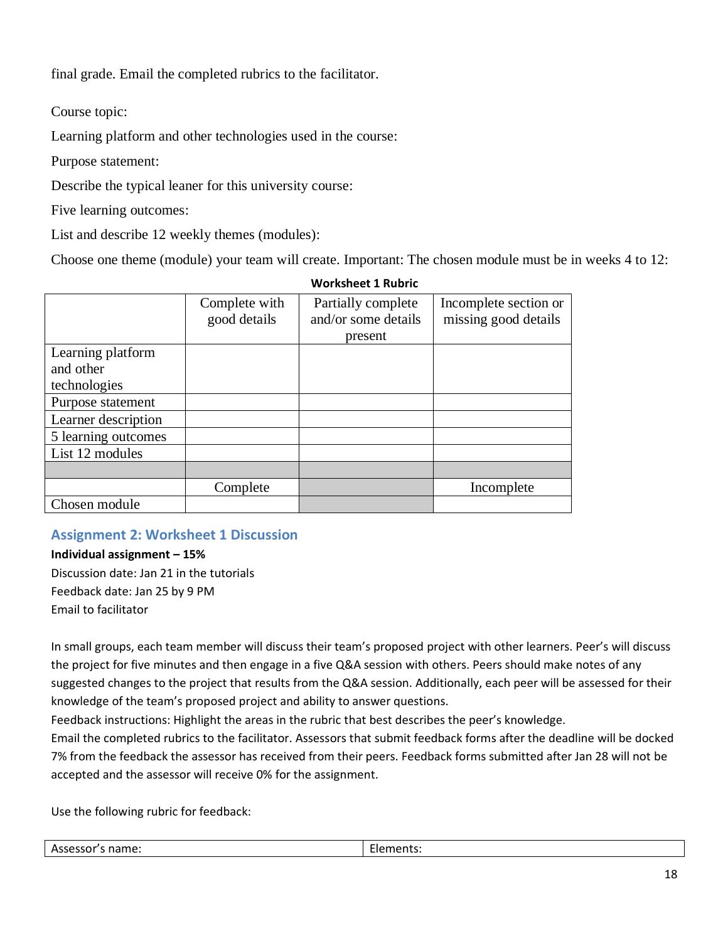final grade. Email the completed rubrics to the facilitator.

Course topic:

Learning platform and other technologies used in the course:

Purpose statement:

Describe the typical leaner for this university course:

Five learning outcomes:

List and describe 12 weekly themes (modules):

Choose one theme (module) your team will create. Important: The chosen module must be in weeks 4 to 12:

|                     |               | WOrksheet 1 Rubric  |                       |
|---------------------|---------------|---------------------|-----------------------|
|                     | Complete with | Partially complete  | Incomplete section or |
|                     | good details  | and/or some details | missing good details  |
|                     |               | present             |                       |
| Learning platform   |               |                     |                       |
| and other           |               |                     |                       |
| technologies        |               |                     |                       |
| Purpose statement   |               |                     |                       |
| Learner description |               |                     |                       |
| 5 learning outcomes |               |                     |                       |
| List 12 modules     |               |                     |                       |
|                     |               |                     |                       |
|                     | Complete      |                     | Incomplete            |
| Chosen module       |               |                     |                       |

# **Worksheet 1 Rubric**

# **Assignment 2: Worksheet 1 Discussion**

**Individual assignment – 15%** Discussion date: Jan 21 in the tutorials Feedback date: Jan 25 by 9 PM Email to facilitator

In small groups, each team member will discuss their team's proposed project with other learners. Peer's will discuss the project for five minutes and then engage in a five Q&A session with others. Peers should make notes of any suggested changes to the project that results from the Q&A session. Additionally, each peer will be assessed for their knowledge of the team's proposed project and ability to answer questions.

Feedback instructions: Highlight the areas in the rubric that best describes the peer's knowledge.

Email the completed rubrics to the facilitator. Assessors that submit feedback forms after the deadline will be docked 7% from the feedback the assessor has received from their peers. Feedback forms submitted after Jan 28 will not be accepted and the assessor will receive 0% for the assignment.

Use the following rubric for feedback:

| 50<br>$\sim$<br>니디니디니? | name: | . |
|------------------------|-------|---|
|------------------------|-------|---|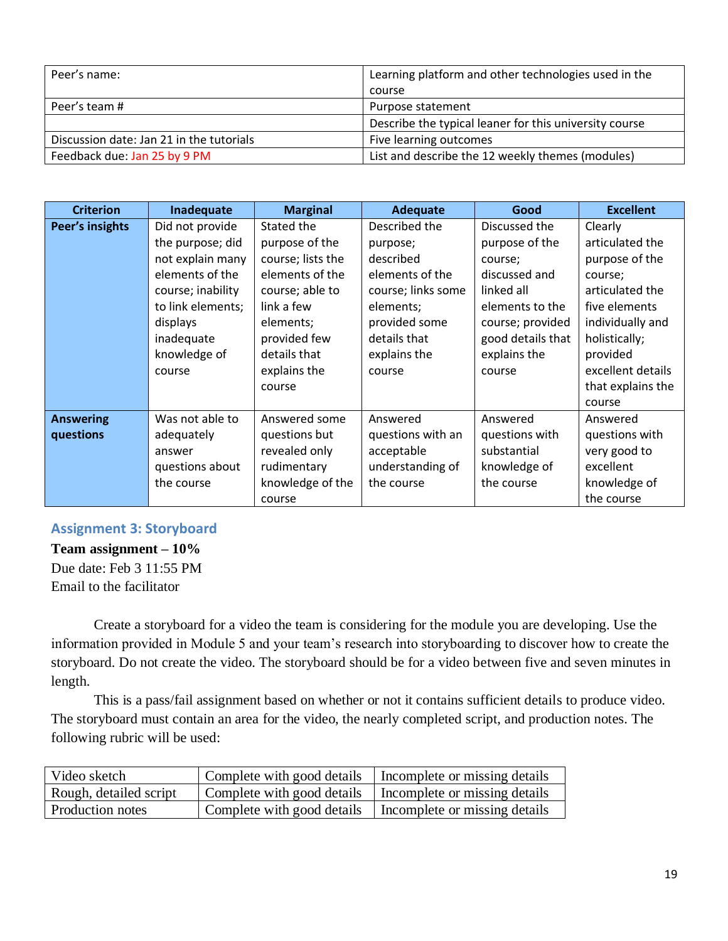| Peer's name:                             | Learning platform and other technologies used in the   |  |
|------------------------------------------|--------------------------------------------------------|--|
|                                          | course                                                 |  |
| Peer's team #                            | Purpose statement                                      |  |
|                                          | Describe the typical leaner for this university course |  |
| Discussion date: Jan 21 in the tutorials | Five learning outcomes                                 |  |
| Feedback due: Jan 25 by 9 PM             | List and describe the 12 weekly themes (modules)       |  |

| <b>Criterion</b> | Inadequate        | <b>Marginal</b>   | Adequate           | Good              | <b>Excellent</b>  |
|------------------|-------------------|-------------------|--------------------|-------------------|-------------------|
| Peer's insights  | Did not provide   | Stated the        | Described the      | Discussed the     | Clearly           |
|                  | the purpose; did  | purpose of the    | purpose;           | purpose of the    | articulated the   |
|                  | not explain many  | course; lists the | described          | course;           | purpose of the    |
|                  | elements of the   | elements of the   | elements of the    | discussed and     | course;           |
|                  | course; inability | course; able to   | course; links some | linked all        | articulated the   |
|                  | to link elements; | link a few        | elements;          | elements to the   | five elements     |
|                  | displays          | elements;         | provided some      | course; provided  | individually and  |
|                  | inadequate        | provided few      | details that       | good details that | holistically;     |
|                  | knowledge of      | details that      | explains the       | explains the      | provided          |
|                  | course            | explains the      | course             | course            | excellent details |
|                  |                   | course            |                    |                   | that explains the |
|                  |                   |                   |                    |                   | course            |
| <b>Answering</b> | Was not able to   | Answered some     | Answered           | Answered          | Answered          |
| questions        | adequately        | questions but     | questions with an  | questions with    | questions with    |
|                  | answer            | revealed only     | acceptable         | substantial       | very good to      |
|                  | questions about   | rudimentary       | understanding of   | knowledge of      | excellent         |
|                  | the course        | knowledge of the  | the course         | the course        | knowledge of      |
|                  |                   | course            |                    |                   | the course        |

# **Assignment 3: Storyboard**

**Team assignment – 10%** Due date: Feb 3 11:55 PM Email to the facilitator

Create a storyboard for a video the team is considering for the module you are developing. Use the information provided in Module 5 and your team's research into storyboarding to discover how to create the storyboard. Do not create the video. The storyboard should be for a video between five and seven minutes in length.

This is a pass/fail assignment based on whether or not it contains sufficient details to produce video. The storyboard must contain an area for the video, the nearly completed script, and production notes. The following rubric will be used:

| Video sketch           | Complete with good details | Incomplete or missing details                              |
|------------------------|----------------------------|------------------------------------------------------------|
| Rough, detailed script |                            | Complete with good details   Incomplete or missing details |
| Production notes       | Complete with good details | Incomplete or missing details                              |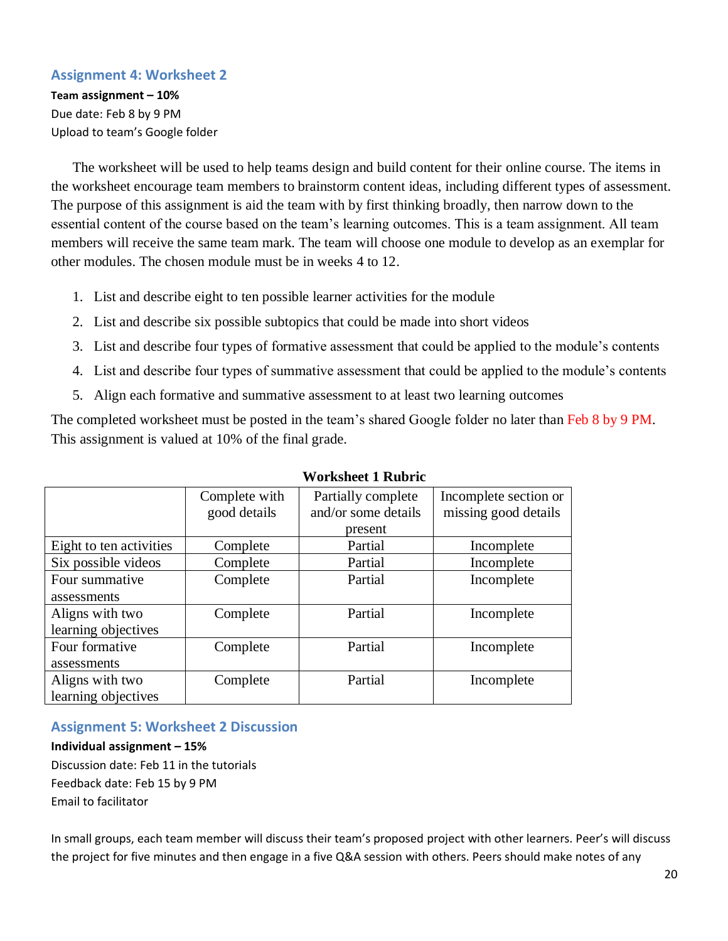#### **Assignment 4: Worksheet 2**

**Team assignment – 10%** Due date: Feb 8 by 9 PM Upload to team's Google folder

The worksheet will be used to help teams design and build content for their online course. The items in the worksheet encourage team members to brainstorm content ideas, including different types of assessment. The purpose of this assignment is aid the team with by first thinking broadly, then narrow down to the essential content of the course based on the team's learning outcomes. This is a team assignment. All team members will receive the same team mark. The team will choose one module to develop as an exemplar for other modules. The chosen module must be in weeks 4 to 12.

- 1. List and describe eight to ten possible learner activities for the module
- 2. List and describe six possible subtopics that could be made into short videos
- 3. List and describe four types of formative assessment that could be applied to the module's contents
- 4. List and describe four types of summative assessment that could be applied to the module's contents
- 5. Align each formative and summative assessment to at least two learning outcomes

The completed worksheet must be posted in the team's shared Google folder no later than Feb 8 by 9 PM. This assignment is valued at 10% of the final grade.

|                         | Complete with | Partially complete  | Incomplete section or |
|-------------------------|---------------|---------------------|-----------------------|
|                         | good details  | and/or some details | missing good details  |
|                         |               | present             |                       |
| Eight to ten activities | Complete      | Partial             | Incomplete            |
| Six possible videos     | Complete      | Partial             | Incomplete            |
| Four summative          | Complete      | Partial             | Incomplete            |
| assessments             |               |                     |                       |
| Aligns with two         | Complete      | Partial             | Incomplete            |
| learning objectives     |               |                     |                       |
| Four formative          | Complete      | Partial             | Incomplete            |
| assessments             |               |                     |                       |
| Aligns with two         | Complete      | Partial             | Incomplete            |
| learning objectives     |               |                     |                       |

#### **Worksheet 1 Rubric**

#### **Assignment 5: Worksheet 2 Discussion**

**Individual assignment – 15%** Discussion date: Feb 11 in the tutorials Feedback date: Feb 15 by 9 PM Email to facilitator

In small groups, each team member will discuss their team's proposed project with other learners. Peer's will discuss the project for five minutes and then engage in a five Q&A session with others. Peers should make notes of any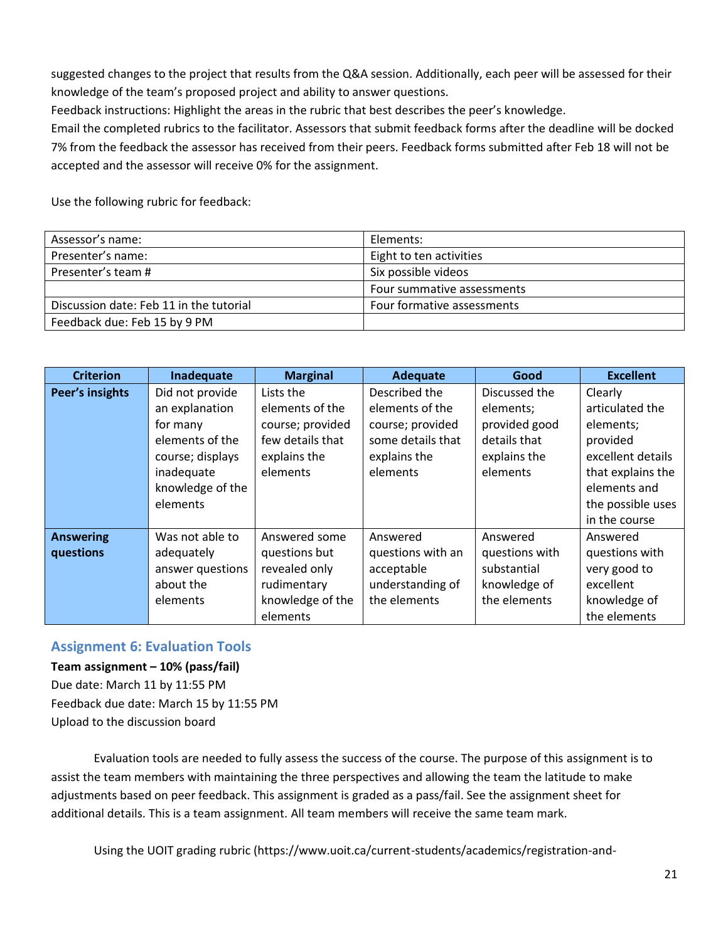suggested changes to the project that results from the Q&A session. Additionally, each peer will be assessed for their knowledge of the team's proposed project and ability to answer questions.

Feedback instructions: Highlight the areas in the rubric that best describes the peer's knowledge.

Email the completed rubrics to the facilitator. Assessors that submit feedback forms after the deadline will be docked 7% from the feedback the assessor has received from their peers. Feedback forms submitted after Feb 18 will not be accepted and the assessor will receive 0% for the assignment.

Use the following rubric for feedback:

| Assessor's name:                        | Elements:                  |  |
|-----------------------------------------|----------------------------|--|
| Presenter's name:                       | Eight to ten activities    |  |
| Presenter's team #                      | Six possible videos        |  |
|                                         | Four summative assessments |  |
| Discussion date: Feb 11 in the tutorial | Four formative assessments |  |
| Feedback due: Feb 15 by 9 PM            |                            |  |

| <b>Criterion</b> | Inadequate       | <b>Marginal</b>  | Adequate          | Good           | <b>Excellent</b>  |
|------------------|------------------|------------------|-------------------|----------------|-------------------|
| Peer's insights  | Did not provide  | Lists the        | Described the     | Discussed the  | Clearly           |
|                  | an explanation   | elements of the  | elements of the   | elements;      | articulated the   |
|                  | for many         | course; provided | course; provided  | provided good  | elements;         |
|                  | elements of the  | few details that | some details that | details that   | provided          |
|                  | course; displays | explains the     | explains the      | explains the   | excellent details |
|                  | inadequate       | elements         | elements          | elements       | that explains the |
|                  | knowledge of the |                  |                   |                | elements and      |
|                  | elements         |                  |                   |                | the possible uses |
|                  |                  |                  |                   |                | in the course     |
| <b>Answering</b> | Was not able to  | Answered some    | Answered          | Answered       | Answered          |
| questions        | adequately       | questions but    | questions with an | questions with | questions with    |
|                  | answer questions | revealed only    | acceptable        | substantial    | very good to      |
|                  | about the        | rudimentary      | understanding of  | knowledge of   | excellent         |
|                  | elements         | knowledge of the | the elements      | the elements   | knowledge of      |
|                  |                  | elements         |                   |                | the elements      |

#### **Assignment 6: Evaluation Tools**

**Team assignment – 10% (pass/fail)** Due date: March 11 by 11:55 PM Feedback due date: March 15 by 11:55 PM Upload to the discussion board

Evaluation tools are needed to fully assess the success of the course. The purpose of this assignment is to assist the team members with maintaining the three perspectives and allowing the team the latitude to make adjustments based on peer feedback. This assignment is graded as a pass/fail. See the assignment sheet for additional details. This is a team assignment. All team members will receive the same team mark.

Using the UOIT grading rubric (https://www.uoit.ca/current-students/academics/registration-and-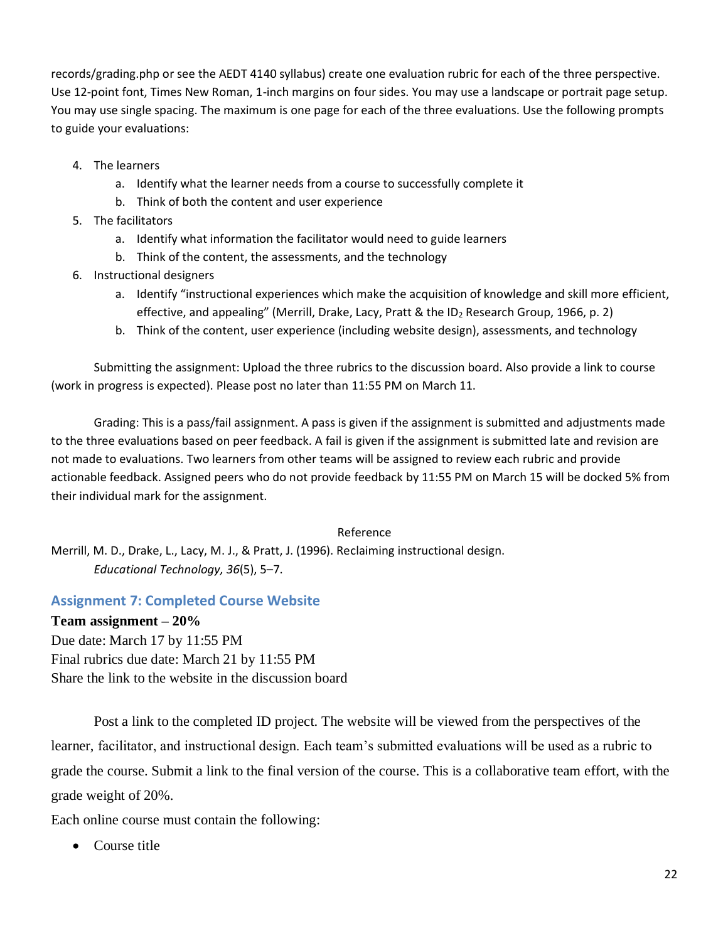records/grading.php or see the AEDT 4140 syllabus) create one evaluation rubric for each of the three perspective. Use 12-point font, Times New Roman, 1-inch margins on four sides. You may use a landscape or portrait page setup. You may use single spacing. The maximum is one page for each of the three evaluations. Use the following prompts to guide your evaluations:

- 4. The learners
	- a. Identify what the learner needs from a course to successfully complete it
	- b. Think of both the content and user experience
- 5. The facilitators
	- a. Identify what information the facilitator would need to guide learners
	- b. Think of the content, the assessments, and the technology
- 6. Instructional designers
	- a. Identify "instructional experiences which make the acquisition of knowledge and skill more efficient, effective, and appealing" (Merrill, Drake, Lacy, Pratt & the ID<sub>2</sub> Research Group, 1966, p. 2)
	- b. Think of the content, user experience (including website design), assessments, and technology

Submitting the assignment: Upload the three rubrics to the discussion board. Also provide a link to course (work in progress is expected). Please post no later than 11:55 PM on March 11.

Grading: This is a pass/fail assignment. A pass is given if the assignment is submitted and adjustments made to the three evaluations based on peer feedback. A fail is given if the assignment is submitted late and revision are not made to evaluations. Two learners from other teams will be assigned to review each rubric and provide actionable feedback. Assigned peers who do not provide feedback by 11:55 PM on March 15 will be docked 5% from their individual mark for the assignment.

#### Reference

Merrill, M. D., Drake, L., Lacy, M. J., & Pratt, J. (1996). Reclaiming instructional design. *Educational Technology, 36*(5), 5–7.

#### **Assignment 7: Completed Course Website**

#### **Team assignment – 20%**

Due date: March 17 by 11:55 PM Final rubrics due date: March 21 by 11:55 PM Share the link to the website in the discussion board

Post a link to the completed ID project. The website will be viewed from the perspectives of the learner, facilitator, and instructional design. Each team's submitted evaluations will be used as a rubric to grade the course. Submit a link to the final version of the course. This is a collaborative team effort, with the grade weight of 20%.

Each online course must contain the following:

• Course title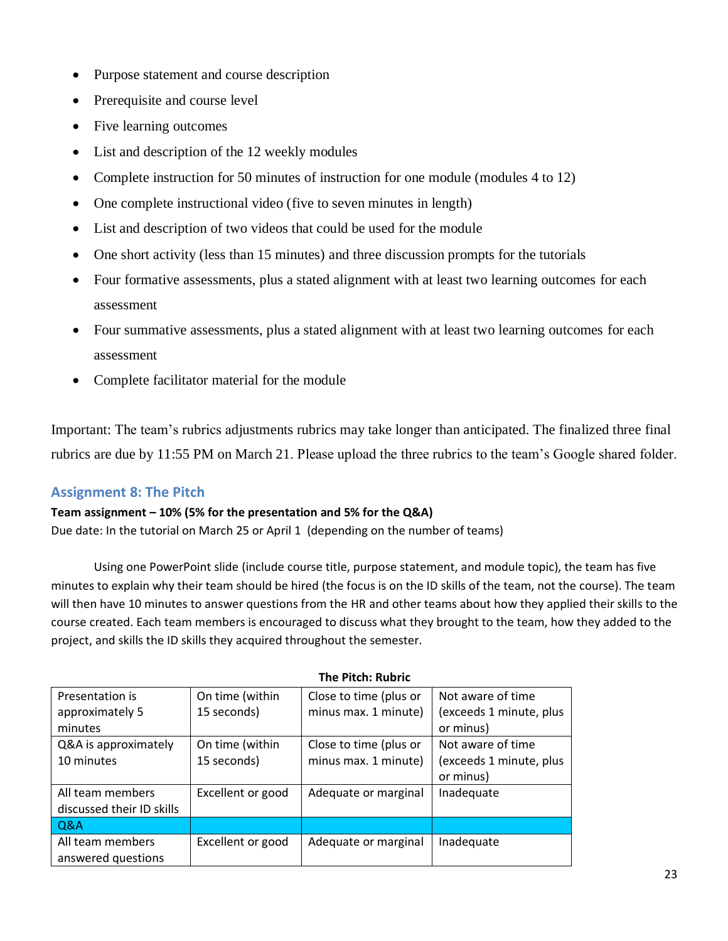- Purpose statement and course description
- Prerequisite and course level
- Five learning outcomes
- List and description of the 12 weekly modules
- Complete instruction for 50 minutes of instruction for one module (modules 4 to 12)
- One complete instructional video (five to seven minutes in length)
- List and description of two videos that could be used for the module
- One short activity (less than 15 minutes) and three discussion prompts for the tutorials
- Four formative assessments, plus a stated alignment with at least two learning outcomes for each assessment
- Four summative assessments, plus a stated alignment with at least two learning outcomes for each assessment
- Complete facilitator material for the module

Important: The team's rubrics adjustments rubrics may take longer than anticipated. The finalized three final rubrics are due by 11:55 PM on March 21. Please upload the three rubrics to the team's Google shared folder.

# **Assignment 8: The Pitch**

#### **Team assignment – 10% (5% for the presentation and 5% for the Q&A)**

Due date: In the tutorial on March 25 or April 1 (depending on the number of teams)

Using one PowerPoint slide (include course title, purpose statement, and module topic), the team has five minutes to explain why their team should be hired (the focus is on the ID skills of the team, not the course). The team will then have 10 minutes to answer questions from the HR and other teams about how they applied their skills to the course created. Each team members is encouraged to discuss what they brought to the team, how they added to the project, and skills the ID skills they acquired throughout the semester.

| Presentation is           | On time (within   | Close to time (plus or | Not aware of time       |  |  |  |  |  |
|---------------------------|-------------------|------------------------|-------------------------|--|--|--|--|--|
| approximately 5           | 15 seconds)       | minus max. 1 minute)   | (exceeds 1 minute, plus |  |  |  |  |  |
| minutes                   |                   |                        | or minus)               |  |  |  |  |  |
| Q&A is approximately      | On time (within   | Close to time (plus or | Not aware of time       |  |  |  |  |  |
| 10 minutes                | 15 seconds)       | minus max. 1 minute)   | (exceeds 1 minute, plus |  |  |  |  |  |
|                           |                   |                        | or minus)               |  |  |  |  |  |
| All team members          | Excellent or good | Adequate or marginal   | Inadequate              |  |  |  |  |  |
| discussed their ID skills |                   |                        |                         |  |  |  |  |  |
| Q&A                       |                   |                        |                         |  |  |  |  |  |
| All team members          | Excellent or good | Adequate or marginal   | Inadequate              |  |  |  |  |  |
| answered questions        |                   |                        |                         |  |  |  |  |  |

#### **The Pitch: Rubric**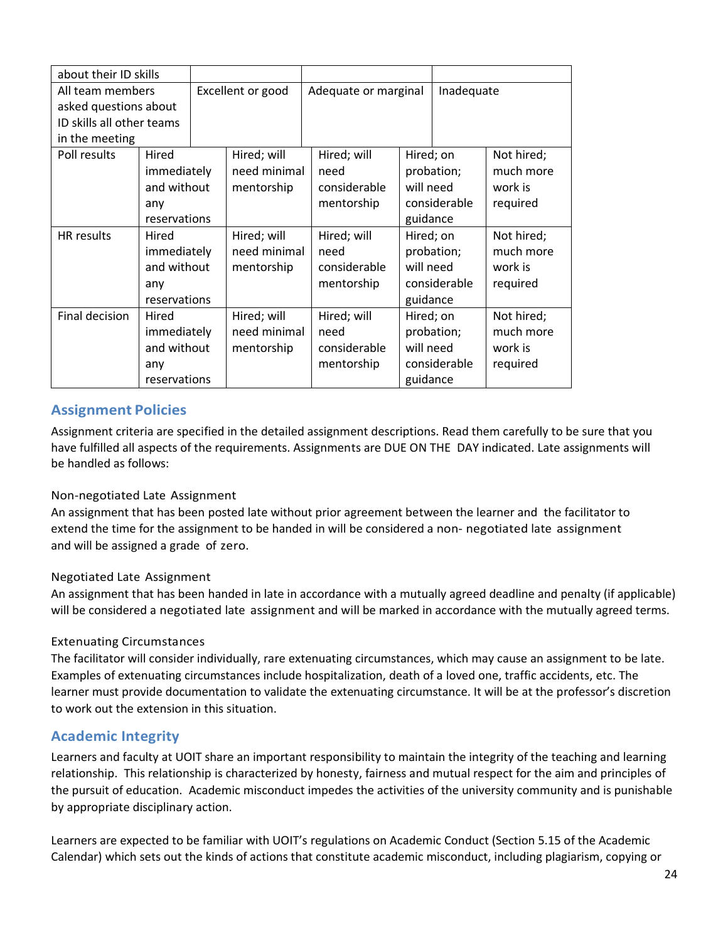| about their ID skills     |              |                   |              |                      |                         |                      |            |
|---------------------------|--------------|-------------------|--------------|----------------------|-------------------------|----------------------|------------|
| All team members          |              | Excellent or good |              | Adequate or marginal |                         | Inadequate           |            |
| asked questions about     |              |                   |              |                      |                         |                      |            |
| ID skills all other teams |              |                   |              |                      |                         |                      |            |
| in the meeting            |              |                   |              |                      |                         |                      |            |
| Poll results              | Hired        |                   | Hired; will  | Hired; will          | Not hired;<br>Hired; on |                      |            |
|                           | immediately  |                   | need minimal | need                 | probation;              |                      | much more  |
|                           | and without  |                   | mentorship   | considerable         |                         | will need<br>work is |            |
|                           | any          |                   |              | mentorship           | considerable            |                      | required   |
|                           | reservations |                   |              |                      | guidance                |                      |            |
| HR results                | Hired        |                   | Hired; will  | Hired; will          | Hired; on               |                      | Not hired; |
|                           | immediately  |                   | need minimal | need                 | probation;              |                      | much more  |
|                           | and without  |                   | mentorship   | considerable         | will need               |                      | work is    |
|                           | any          |                   |              | mentorship           | considerable            |                      | required   |
|                           | reservations |                   |              |                      | guidance                |                      |            |
| Final decision            | Hired        |                   | Hired; will  | Hired; will          | Hired; on               |                      | Not hired; |
|                           | immediately  |                   | need minimal | need                 |                         | probation;           | much more  |
|                           | and without  |                   | mentorship   | considerable         | will need               |                      | work is    |
|                           | any          |                   |              | mentorship           |                         | considerable         | required   |
|                           | reservations |                   |              |                      | guidance                |                      |            |

# **Assignment Policies**

Assignment criteria are specified in the detailed assignment descriptions. Read them carefully to be sure that you have fulfilled all aspects of the requirements. Assignments are DUE ON THE DAY indicated. Late assignments will be handled as follows:

#### Non-negotiated Late Assignment

An assignment that has been posted late without prior agreement between the learner and the facilitator to extend the time for the assignment to be handed in will be considered a non- negotiated late assignment and will be assigned a grade of zero.

#### Negotiated Late Assignment

An assignment that has been handed in late in accordance with a mutually agreed deadline and penalty (if applicable) will be considered a negotiated late assignment and will be marked in accordance with the mutually agreed terms.

#### Extenuating Circumstances

The facilitator will consider individually, rare extenuating circumstances, which may cause an assignment to be late. Examples of extenuating circumstances include hospitalization, death of a loved one, traffic accidents, etc. The learner must provide documentation to validate the extenuating circumstance. It will be at the professor's discretion to work out the extension in this situation.

# **Academic Integrity**

Learners and faculty at UOIT share an important responsibility to maintain the integrity of the teaching and learning relationship. This relationship is characterized by honesty, fairness and mutual respect for the aim and principles of the pursuit of education. Academic misconduct impedes the activities of the university community and is punishable by appropriate disciplinary action.

Learners are expected to be familiar with UOIT's regulations on Academic Conduct (Section 5.15 of the Academic Calendar) which sets out the kinds of actions that constitute academic misconduct, including plagiarism, copying or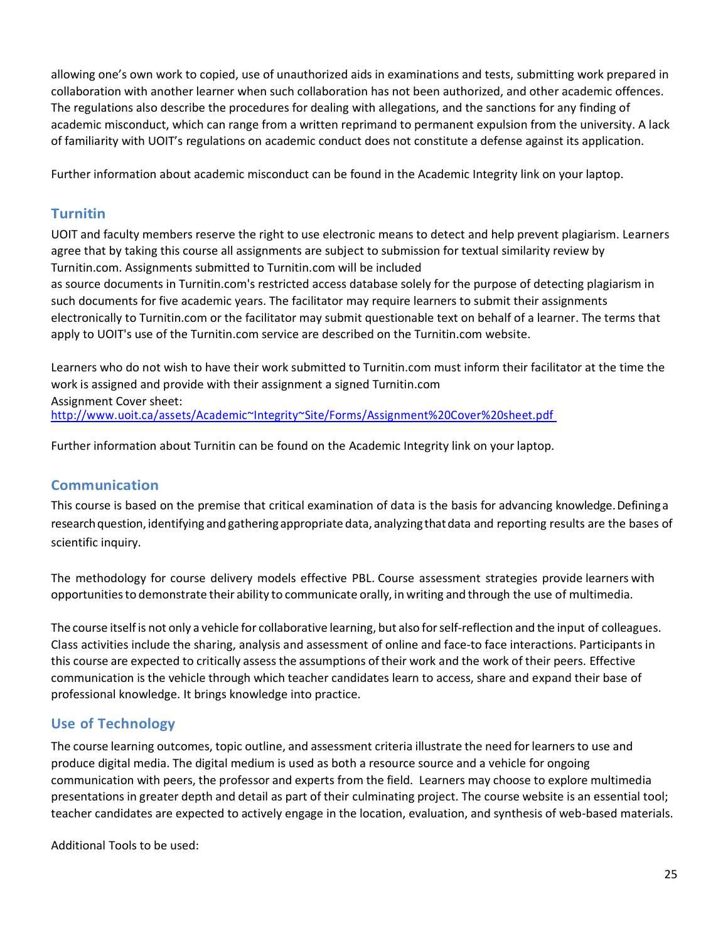allowing one's own work to copied, use of unauthorized aids in examinations and tests, submitting work prepared in collaboration with another learner when such collaboration has not been authorized, and other academic offences. The regulations also describe the procedures for dealing with allegations, and the sanctions for any finding of academic misconduct, which can range from a written reprimand to permanent expulsion from the university. A lack of familiarity with UOIT's regulations on academic conduct does not constitute a defense against its application.

Further information about academic misconduct can be found in the Academic Integrity link on your laptop.

# **Turnitin**

UOIT and faculty members reserve the right to use electronic means to detect and help prevent plagiarism. Learners agree that by taking this course all assignments are subject to submission for textual similarity review by Turnitin.com. Assignments submitted to Turnitin.com will be included

as source documents in Turnitin.com's restricted access database solely for the purpose of detecting plagiarism in such documents for five academic years. The facilitator may require learners to submit their assignments electronically to Turnitin.com or the facilitator may submit questionable text on behalf of a learner. The terms that apply to UOIT's use of the Turnitin.com service are described on the Turnitin.com website.

Learners who do not wish to have their work submitted to Turnitin.com must inform their facilitator at the time the work is assigned and provide with their assignment a signed Turnitin.com Assignment Cover sheet: <http://www.uoit.ca/assets/Academic~Integrity~Site/Forms/Assignment%20Cover%20sheet.pdf>

Further information about Turnitin can be found on the Academic Integrity link on your laptop.

# **Communication**

This course is based on the premise that critical examination of data is the basis for advancing knowledge. Defining a research question, identifying and gathering appropriate data, analyzing that data and reporting results are the bases of scientific inquiry.

The methodology for course delivery models effective PBL. Course assessment strategies provide learners with opportunitiesto demonstrate their ability to communicate orally, in writing and through the use of multimedia.

The course itselfis not only a vehicle for collaborative learning, but also forself-reflection and the input of colleagues. Class activities include the sharing, analysis and assessment of online and face-to face interactions. Participants in this course are expected to critically assess the assumptions of their work and the work of their peers. Effective communication is the vehicle through which teacher candidates learn to access, share and expand their base of professional knowledge. It brings knowledge into practice.

# **Use of Technology**

The course learning outcomes, topic outline, and assessment criteria illustrate the need for learners to use and produce digital media. The digital medium is used as both a resource source and a vehicle for ongoing communication with peers, the professor and experts from the field. Learners may choose to explore multimedia presentations in greater depth and detail as part of their culminating project. The course website is an essential tool; teacher candidates are expected to actively engage in the location, evaluation, and synthesis of web-based materials.

Additional Tools to be used: